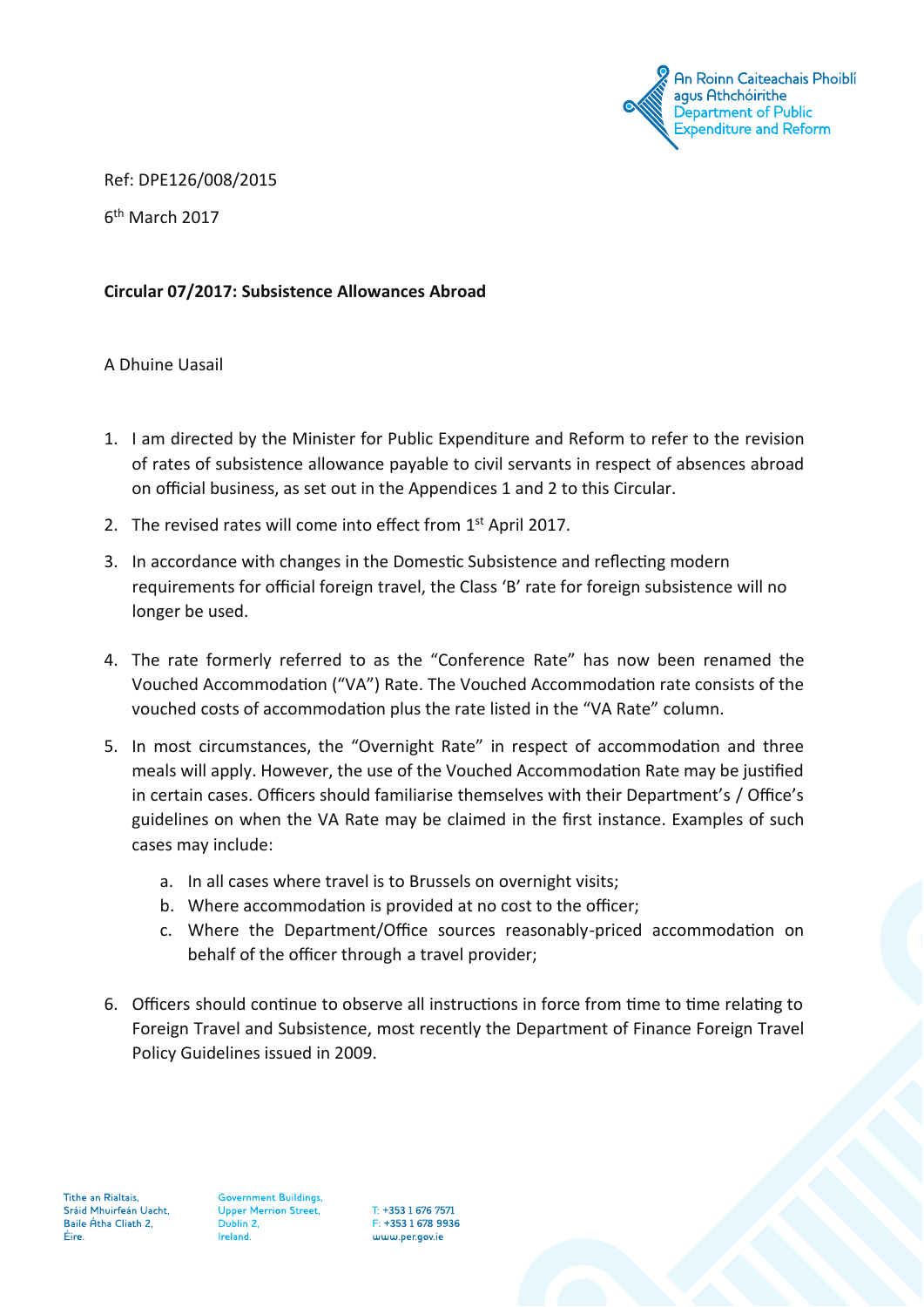

Ref: DPE126/008/2015

6th March 2017

# **Circular 07/2017: Subsistence Allowances Abroad**

A Dhuine Uasail

- 1. I am directed by the Minister for Public Expenditure and Reform to refer to the revision of rates of subsistence allowance payable to civil servants in respect of absences abroad on official business, as set out in the Appendices 1 and 2 to this Circular.
- 2. The revised rates will come into effect from 1st April 2017.
- 3. In accordance with changes in the Domestic Subsistence and reflecting modern requirements for official foreign travel, the Class 'B' rate for foreign subsistence will no longer be used.
- 4. The rate formerly referred to as the "Conference Rate" has now been renamed the Vouched Accommodation ("VA") Rate. The Vouched Accommodation rate consists of the vouched costs of accommodation plus the rate listed in the "VA Rate" column.
- 5. In most circumstances, the "Overnight Rate" in respect of accommodation and three meals will apply. However, the use of the Vouched Accommodation Rate may be justified in certain cases. Officers should familiarise themselves with their Department's / Office's guidelines on when the VA Rate may be claimed in the first instance. Examples of such cases may include:
	- a. In all cases where travel is to Brussels on overnight visits;
	- b. Where accommodation is provided at no cost to the officer;
	- c. Where the Department/Office sources reasonably-priced accommodation on behalf of the officer through a travel provider;
- 6. Officers should continue to observe all instructions in force from time to time relating to Foreign Travel and Subsistence, most recently the Department of Finance Foreign Travel Policy Guidelines issued in 2009.

Tithe an Rialtais, Sráid Mhuirfeán Uacht, Baile Átha Cliath 2, Éire.

Government Buildings, **Upper Merrion Street,** Dublin 2, Ireland.

T: +353 1 676 7571 F: +353 1 678 9936 www.per.gov.je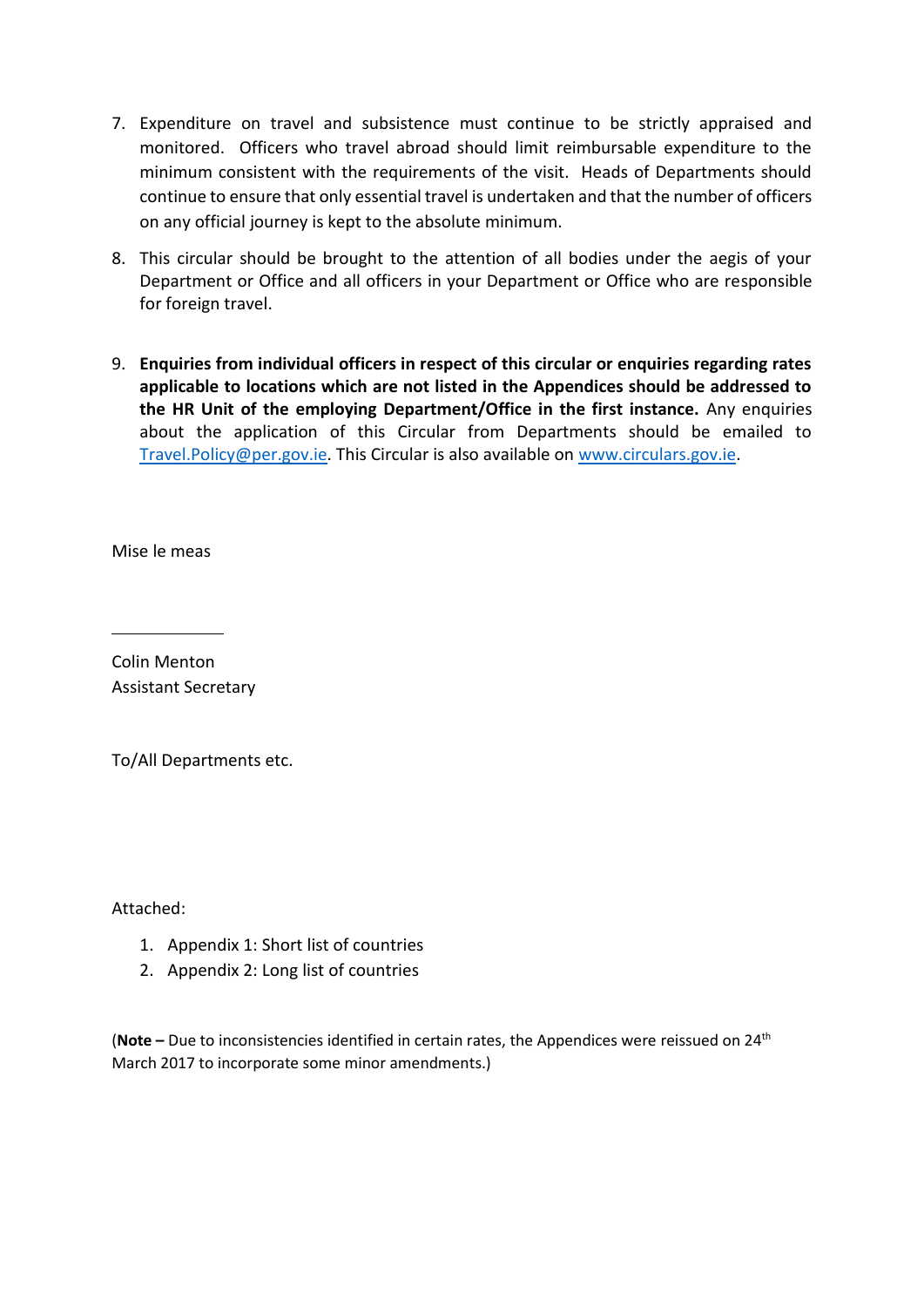- 7. Expenditure on travel and subsistence must continue to be strictly appraised and monitored. Officers who travel abroad should limit reimbursable expenditure to the minimum consistent with the requirements of the visit. Heads of Departments should continue to ensure that only essential travel is undertaken and that the number of officers on any official journey is kept to the absolute minimum.
- 8. This circular should be brought to the attention of all bodies under the aegis of your Department or Office and all officers in your Department or Office who are responsible for foreign travel.
- 9. **Enquiries from individual officers in respect of this circular or enquiries regarding rates applicable to locations which are not listed in the Appendices should be addressed to the HR Unit of the employing Department/Office in the first instance.** Any enquiries about the application of this Circular from Departments should be emailed to [Travel.Policy@per.gov.ie.](mailto:Travel.Policy@per.gov.ie) This Circular is also available on [www.circulars.gov.ie.](http://www.circulars.gov.ie/)

Mise le meas

Colin Menton Assistant Secretary

To/All Departments etc.

Attached:

- 1. Appendix 1: Short list of countries
- 2. Appendix 2: Long list of countries

(**Note –** Due to inconsistencies identified in certain rates, the Appendices were reissued on 24th March 2017 to incorporate some minor amendments.)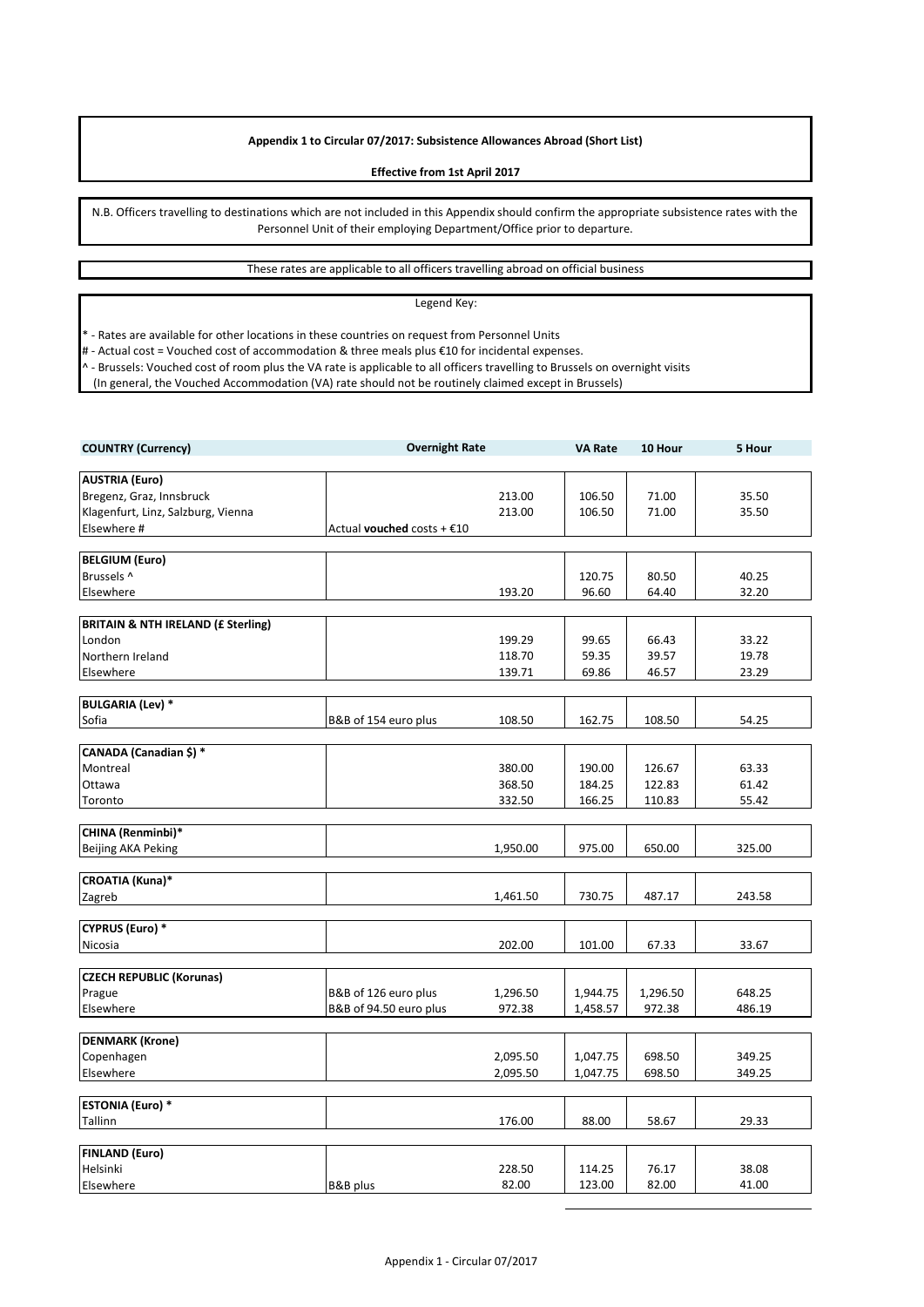# **Appendix 1 to Circular 07/2017: Subsistence Allowances Abroad (Short List)**

#### **Effective from 1st April 2017**

N.B. Officers travelling to destinations which are not included in this Appendix should confirm the appropriate subsistence rates with the Personnel Unit of their employing Department/Office prior to departure.

# These rates are applicable to all officers travelling abroad on official business

### Legend Key:

\* - Rates are available for other locations in these countries on request from Personnel Units

# - Actual cost = Vouched cost of accommodation & three meals plus €10 for incidental expenses.

^ - Brussels: Vouched cost of room plus the VA rate is applicable to all officers travelling to Brussels on overnight visits

(In general, the Vouched Accommodation (VA) rate should not be routinely claimed except in Brussels)

| <b>COUNTRY (Currency)</b>                     | <b>Overnight Rate</b>      |                  | <b>VA Rate</b>   | 10 Hour          | 5 Hour         |
|-----------------------------------------------|----------------------------|------------------|------------------|------------------|----------------|
|                                               |                            |                  |                  |                  |                |
| <b>AUSTRIA (Euro)</b>                         |                            |                  |                  |                  |                |
| Bregenz, Graz, Innsbruck                      |                            | 213.00           | 106.50           | 71.00            | 35.50          |
| Klagenfurt, Linz, Salzburg, Vienna            |                            | 213.00           | 106.50           | 71.00            | 35.50          |
| Elsewhere #                                   | Actual vouched costs + €10 |                  |                  |                  |                |
|                                               |                            |                  |                  |                  |                |
| <b>BELGIUM (Euro)</b>                         |                            |                  |                  |                  |                |
| Brussels ^                                    |                            |                  | 120.75           | 80.50            | 40.25          |
| Elsewhere                                     |                            | 193.20           | 96.60            | 64.40            | 32.20          |
|                                               |                            |                  |                  |                  |                |
| <b>BRITAIN &amp; NTH IRELAND (£ Sterling)</b> |                            |                  |                  |                  |                |
| London                                        |                            | 199.29           | 99.65            | 66.43            | 33.22          |
| Northern Ireland                              |                            | 118.70           | 59.35            | 39.57            | 19.78          |
| Elsewhere                                     |                            | 139.71           | 69.86            | 46.57            | 23.29          |
|                                               |                            |                  |                  |                  |                |
| <b>BULGARIA (Lev) *</b>                       |                            |                  |                  |                  |                |
| Sofia                                         | B&B of 154 euro plus       | 108.50           | 162.75           | 108.50           | 54.25          |
| CANADA (Canadian \$) *                        |                            |                  |                  |                  |                |
| Montreal                                      |                            |                  |                  |                  |                |
|                                               |                            | 380.00<br>368.50 | 190.00<br>184.25 | 126.67<br>122.83 | 63.33<br>61.42 |
| Ottawa                                        |                            |                  |                  |                  |                |
| Toronto                                       |                            | 332.50           | 166.25           | 110.83           | 55.42          |
| CHINA (Renminbi)*                             |                            |                  |                  |                  |                |
| Beijing AKA Peking                            |                            | 1,950.00         | 975.00           | 650.00           | 325.00         |
|                                               |                            |                  |                  |                  |                |
| <b>CROATIA (Kuna)*</b>                        |                            |                  |                  |                  |                |
| Zagreb                                        |                            | 1,461.50         | 730.75           | 487.17           | 243.58         |
|                                               |                            |                  |                  |                  |                |
| <b>CYPRUS (Euro) *</b>                        |                            |                  |                  |                  |                |
| Nicosia                                       |                            | 202.00           | 101.00           | 67.33            | 33.67          |
|                                               |                            |                  |                  |                  |                |
| <b>CZECH REPUBLIC (Korunas)</b>               |                            |                  |                  |                  |                |
| Prague                                        | B&B of 126 euro plus       | 1,296.50         | 1,944.75         | 1,296.50         | 648.25         |
| Elsewhere                                     | B&B of 94.50 euro plus     | 972.38           | 1,458.57         | 972.38           | 486.19         |
|                                               |                            |                  |                  |                  |                |
| <b>DENMARK (Krone)</b>                        |                            |                  |                  |                  |                |
| Copenhagen                                    |                            | 2,095.50         | 1,047.75         | 698.50           | 349.25         |
| Elsewhere                                     |                            | 2,095.50         | 1,047.75         | 698.50           | 349.25         |
|                                               |                            |                  |                  |                  |                |
| <b>ESTONIA (Euro) *</b>                       |                            |                  |                  |                  |                |
| Tallinn                                       |                            | 176.00           | 88.00            | 58.67            | 29.33          |
|                                               |                            |                  |                  |                  |                |
| <b>FINLAND (Euro)</b>                         |                            |                  |                  |                  |                |
| Helsinki                                      |                            | 228.50           | 114.25           | 76.17            | 38.08          |
| Elsewhere                                     | B&B plus                   | 82.00            | 123.00           | 82.00            | 41.00          |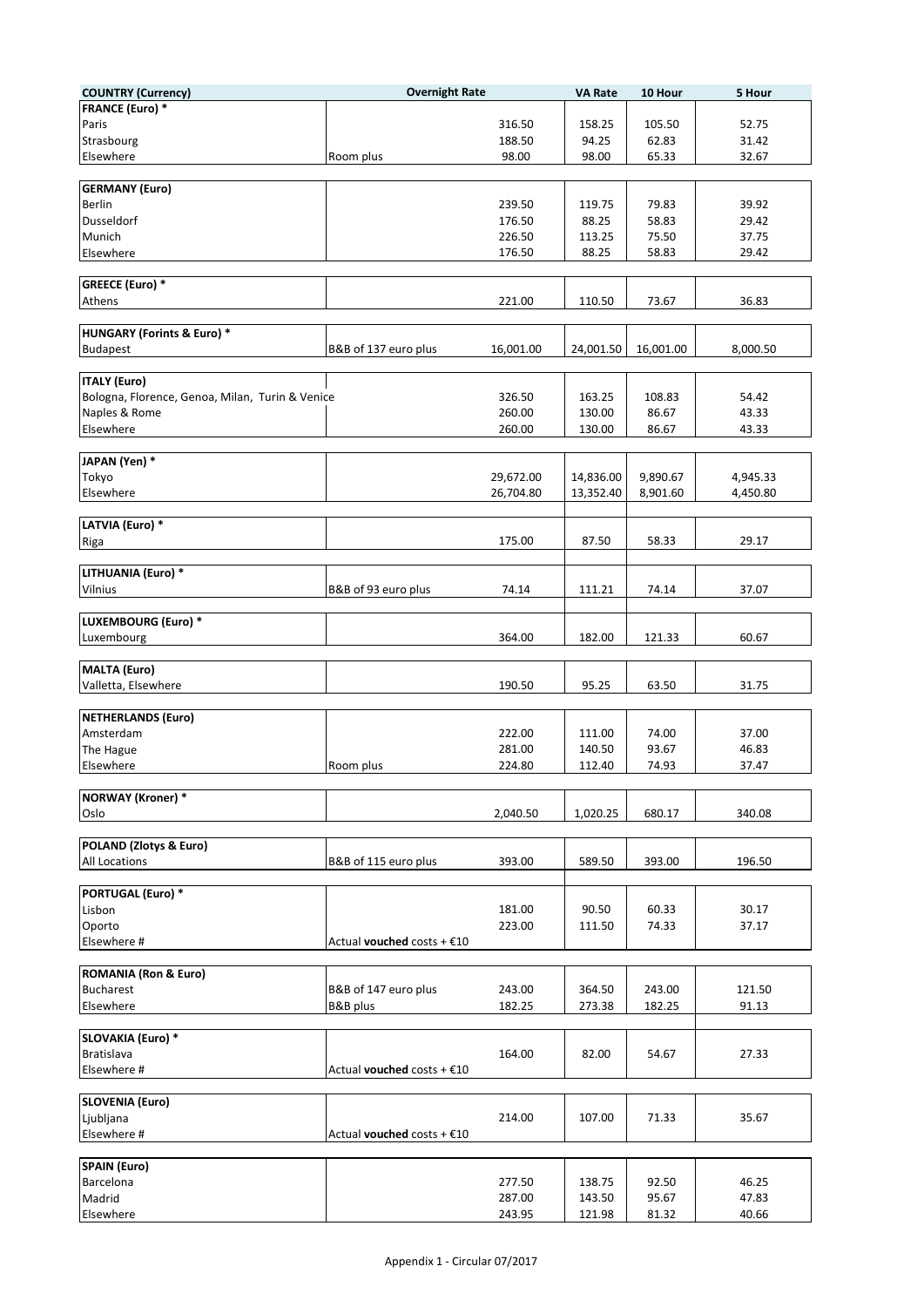| <b>COUNTRY (Currency)</b>                       | <b>Overnight Rate</b>        |           | <b>VA Rate</b> | 10 Hour   | 5 Hour   |
|-------------------------------------------------|------------------------------|-----------|----------------|-----------|----------|
| <b>FRANCE (Euro) *</b>                          |                              |           |                |           |          |
| Paris                                           |                              | 316.50    | 158.25         | 105.50    | 52.75    |
| Strasbourg                                      |                              | 188.50    | 94.25          | 62.83     | 31.42    |
| Elsewhere                                       | Room plus                    | 98.00     | 98.00          | 65.33     | 32.67    |
|                                                 |                              |           |                |           |          |
| <b>GERMANY (Euro)</b>                           |                              |           |                |           |          |
| <b>Berlin</b>                                   |                              | 239.50    | 119.75         | 79.83     | 39.92    |
| Dusseldorf                                      |                              | 176.50    | 88.25          | 58.83     | 29.42    |
| Munich                                          |                              | 226.50    | 113.25         | 75.50     | 37.75    |
| Elsewhere                                       |                              | 176.50    | 88.25          | 58.83     | 29.42    |
|                                                 |                              |           |                |           |          |
| <b>GREECE (Euro) *</b>                          |                              |           |                |           |          |
| Athens                                          |                              | 221.00    | 110.50         | 73.67     | 36.83    |
|                                                 |                              |           |                |           |          |
| <b>HUNGARY (Forints &amp; Euro) *</b>           |                              |           |                |           |          |
| <b>Budapest</b>                                 | B&B of 137 euro plus         | 16,001.00 | 24,001.50      | 16,001.00 | 8,000.50 |
|                                                 |                              |           |                |           |          |
| <b>ITALY (Euro)</b>                             |                              |           |                |           |          |
| Bologna, Florence, Genoa, Milan, Turin & Venice |                              | 326.50    | 163.25         | 108.83    | 54.42    |
| Naples & Rome                                   |                              | 260.00    | 130.00         | 86.67     | 43.33    |
| Elsewhere                                       |                              | 260.00    | 130.00         | 86.67     | 43.33    |
|                                                 |                              |           |                |           |          |
| JAPAN (Yen) *                                   |                              |           |                |           |          |
| Tokyo                                           |                              | 29,672.00 | 14,836.00      | 9,890.67  | 4,945.33 |
|                                                 |                              |           |                |           |          |
| Elsewhere                                       |                              | 26,704.80 | 13,352.40      | 8,901.60  | 4,450.80 |
| LATVIA (Euro) *                                 |                              |           |                |           |          |
|                                                 |                              |           |                |           |          |
| Riga                                            |                              | 175.00    | 87.50          | 58.33     | 29.17    |
|                                                 |                              |           |                |           |          |
| LITHUANIA (Euro) *                              |                              |           |                |           |          |
| Vilnius                                         | B&B of 93 euro plus          | 74.14     | 111.21         | 74.14     | 37.07    |
|                                                 |                              |           |                |           |          |
| LUXEMBOURG (Euro) *                             |                              |           |                |           |          |
| Luxembourg                                      |                              | 364.00    | 182.00         | 121.33    | 60.67    |
|                                                 |                              |           |                |           |          |
| MALTA (Euro)                                    |                              |           |                |           |          |
| Valletta, Elsewhere                             |                              | 190.50    | 95.25          | 63.50     | 31.75    |
|                                                 |                              |           |                |           |          |
| NETHERLANDS (Euro)                              |                              |           |                |           |          |
| Amsterdam                                       |                              | 222.00    | 111.00         | 74.00     | 37.00    |
| The Hague                                       |                              | 281.00    | 140.50         | 93.67     | 46.83    |
| Elsewhere                                       | Room plus                    | 224.80    | 112.40         | 74.93     | 37.47    |
|                                                 |                              |           |                |           |          |
| <b>NORWAY</b> (Kroner) *                        |                              |           |                |           |          |
| Oslo                                            |                              | 2,040.50  | 1,020.25       | 680.17    | 340.08   |
|                                                 |                              |           |                |           |          |
| POLAND (Zlotys & Euro)                          |                              |           |                |           |          |
| All Locations                                   | B&B of 115 euro plus         | 393.00    | 589.50         | 393.00    | 196.50   |
|                                                 |                              |           |                |           |          |
| <b>PORTUGAL (Euro) *</b>                        |                              |           |                |           |          |
| Lisbon                                          |                              | 181.00    | 90.50          | 60.33     | 30.17    |
| Oporto                                          |                              | 223.00    | 111.50         | 74.33     | 37.17    |
| Elsewhere #                                     | Actual vouched costs + €10   |           |                |           |          |
|                                                 |                              |           |                |           |          |
| <b>ROMANIA (Ron &amp; Euro)</b>                 |                              |           |                |           |          |
| <b>Bucharest</b>                                | B&B of 147 euro plus         | 243.00    | 364.50         | 243.00    | 121.50   |
| Elsewhere                                       | B&B plus                     | 182.25    | 273.38         | 182.25    | 91.13    |
|                                                 |                              |           |                |           |          |
| <b>SLOVAKIA (Euro) *</b>                        |                              |           |                |           |          |
| <b>Bratislava</b>                               |                              | 164.00    | 82.00          | 54.67     | 27.33    |
| Elsewhere #                                     | Actual vouched costs + $£10$ |           |                |           |          |
|                                                 |                              |           |                |           |          |
| <b>SLOVENIA (Euro)</b>                          |                              |           |                |           |          |
| Ljubljana                                       |                              | 214.00    | 107.00         | 71.33     | 35.67    |
| Elsewhere #                                     | Actual vouched costs + $£10$ |           |                |           |          |
|                                                 |                              |           |                |           |          |
| <b>SPAIN (Euro)</b>                             |                              |           |                |           |          |
| Barcelona                                       |                              | 277.50    | 138.75         | 92.50     | 46.25    |
| Madrid                                          |                              | 287.00    | 143.50         | 95.67     | 47.83    |
| Elsewhere                                       |                              | 243.95    | 121.98         | 81.32     | 40.66    |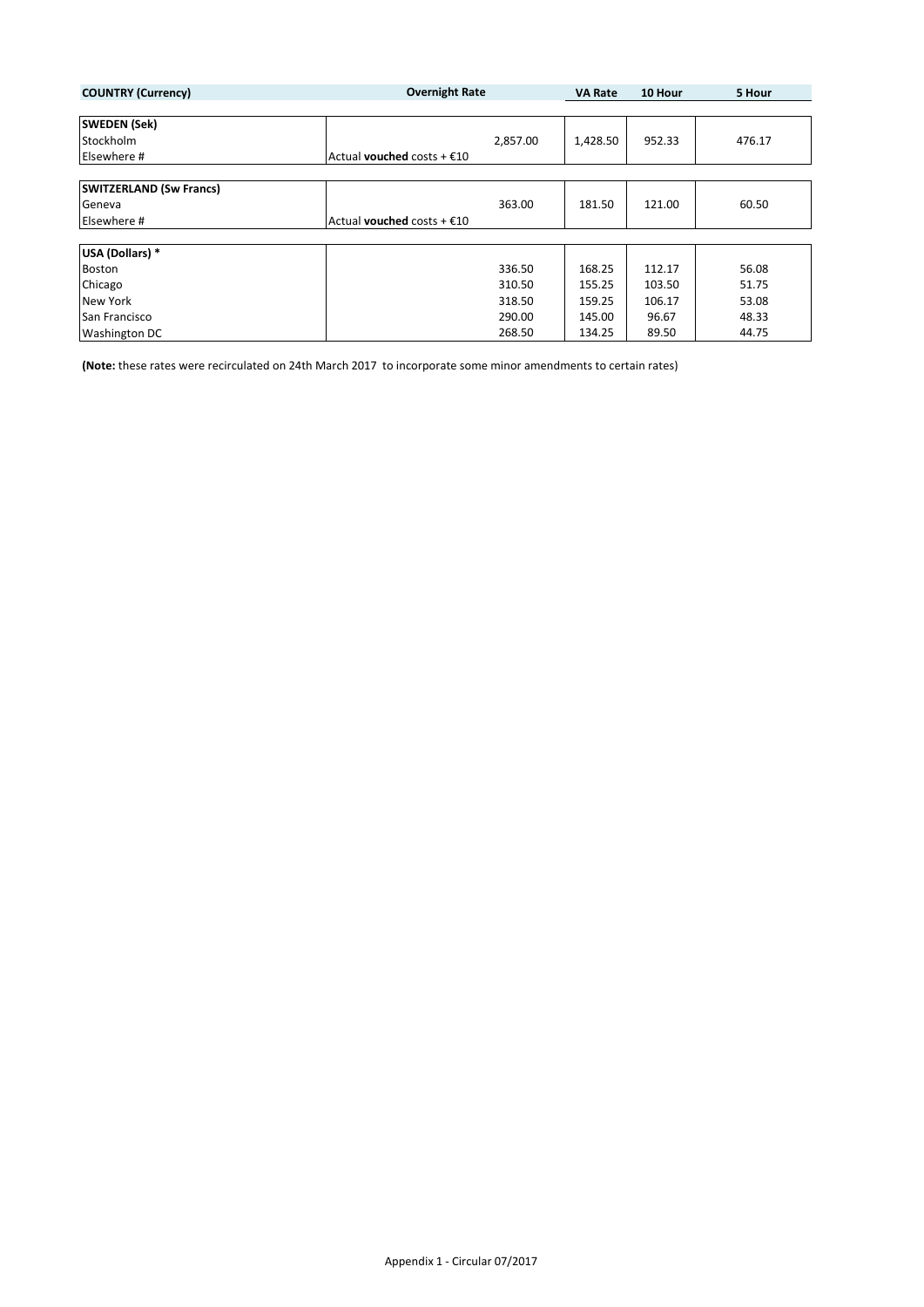| <b>COUNTRY (Currency)</b>      | <b>Overnight Rate</b>               | <b>VA Rate</b> | 10 Hour | 5 Hour |
|--------------------------------|-------------------------------------|----------------|---------|--------|
|                                |                                     |                |         |        |
| <b>SWEDEN (Sek)</b>            |                                     |                |         |        |
| Stockholm                      | 2,857.00                            | 1,428.50       | 952.33  | 476.17 |
| Elsewhere #                    | Actual vouched costs + $£10$        |                |         |        |
|                                |                                     |                |         |        |
| <b>SWITZERLAND (Sw Francs)</b> |                                     |                |         |        |
| Geneva                         | 363.00                              | 181.50         | 121.00  | 60.50  |
| Elsewhere #                    | Actual <b>vouched</b> costs + $E10$ |                |         |        |
|                                |                                     |                |         |        |
| USA (Dollars) *                |                                     |                |         |        |
| <b>Boston</b>                  | 336.50                              | 168.25         | 112.17  | 56.08  |
| Chicago                        | 310.50                              | 155.25         | 103.50  | 51.75  |
| <b>New York</b>                | 318.50                              | 159.25         | 106.17  | 53.08  |
| San Francisco                  | 290.00                              | 145.00         | 96.67   | 48.33  |
| <b>Washington DC</b>           | 268.50                              | 134.25         | 89.50   | 44.75  |

**(Note:** these rates were recirculated on 24th March 2017 to incorporate some minor amendments to certain rates)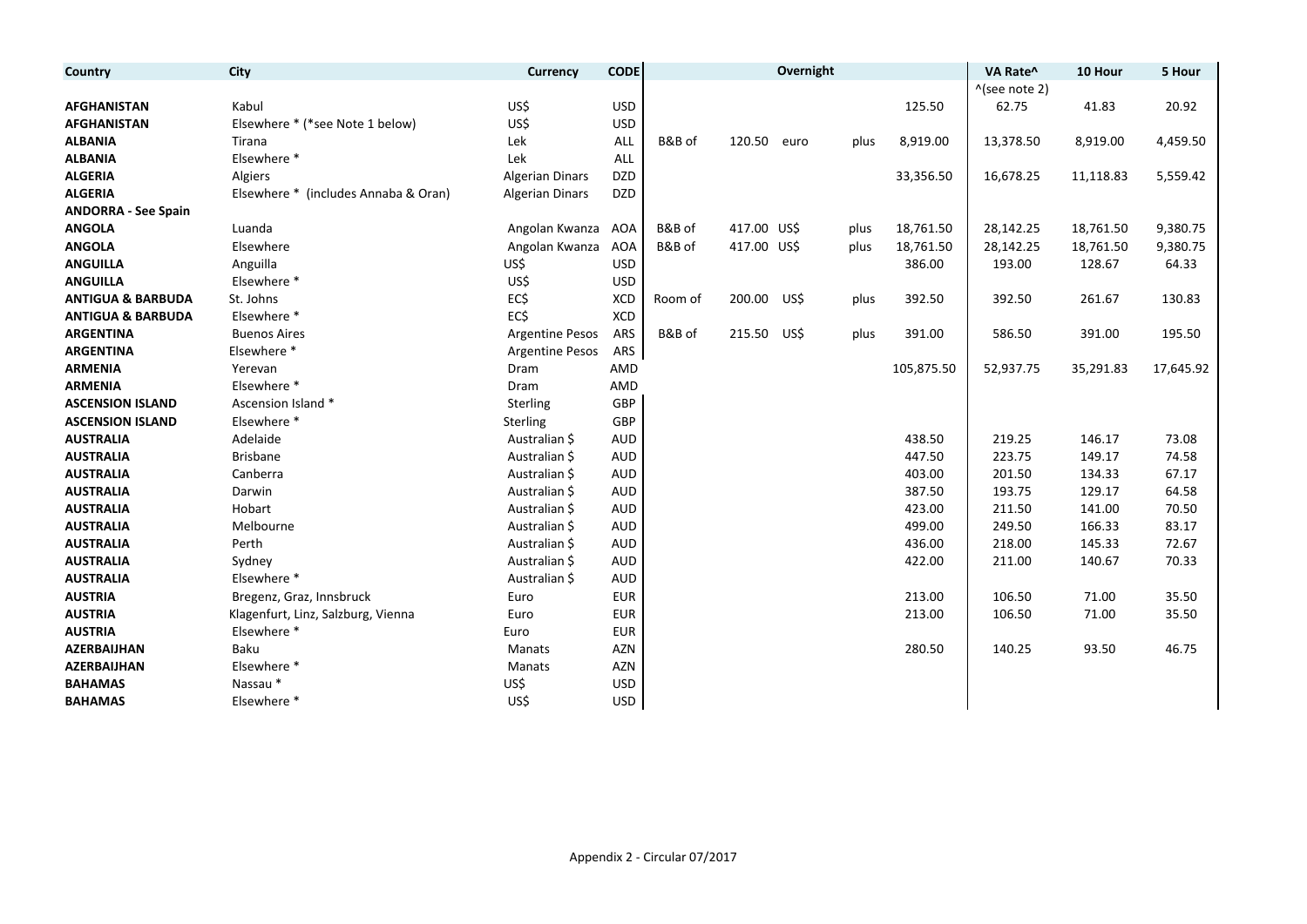| Country                      | City                                 | Currency               | <b>CODE</b> |         |             | Overnight |      |            | VA Rate^                 | 10 Hour   | 5 Hour    |
|------------------------------|--------------------------------------|------------------------|-------------|---------|-------------|-----------|------|------------|--------------------------|-----------|-----------|
|                              |                                      |                        |             |         |             |           |      |            | $^{\wedge}$ (see note 2) |           |           |
| <b>AFGHANISTAN</b>           | Kabul                                | US\$                   | <b>USD</b>  |         |             |           |      | 125.50     | 62.75                    | 41.83     | 20.92     |
| <b>AFGHANISTAN</b>           | Elsewhere * (*see Note 1 below)      | US\$                   | <b>USD</b>  |         |             |           |      |            |                          |           |           |
| <b>ALBANIA</b>               | Tirana                               | Lek                    | ALL         | B&B of  | 120.50      | euro      | plus | 8,919.00   | 13,378.50                | 8,919.00  | 4,459.50  |
| <b>ALBANIA</b>               | Elsewhere *                          | Lek                    | ALL         |         |             |           |      |            |                          |           |           |
| <b>ALGERIA</b>               | Algiers                              | <b>Algerian Dinars</b> | <b>DZD</b>  |         |             |           |      | 33,356.50  | 16,678.25                | 11,118.83 | 5,559.42  |
| <b>ALGERIA</b>               | Elsewhere * (includes Annaba & Oran) | <b>Algerian Dinars</b> | <b>DZD</b>  |         |             |           |      |            |                          |           |           |
| <b>ANDORRA - See Spain</b>   |                                      |                        |             |         |             |           |      |            |                          |           |           |
| <b>ANGOLA</b>                | Luanda                               | Angolan Kwanza         | AOA         | B&B of  | 417.00 US\$ |           | plus | 18,761.50  | 28,142.25                | 18,761.50 | 9,380.75  |
| <b>ANGOLA</b>                | Elsewhere                            | Angolan Kwanza         | <b>AOA</b>  | B&B of  | 417.00 US\$ |           | plus | 18,761.50  | 28,142.25                | 18,761.50 | 9,380.75  |
| <b>ANGUILLA</b>              | Anguilla                             | US\$                   | <b>USD</b>  |         |             |           |      | 386.00     | 193.00                   | 128.67    | 64.33     |
| <b>ANGUILLA</b>              | Elsewhere *                          | US\$                   | <b>USD</b>  |         |             |           |      |            |                          |           |           |
| <b>ANTIGUA &amp; BARBUDA</b> | St. Johns                            | EC\$                   | <b>XCD</b>  | Room of | 200.00      | US\$      | plus | 392.50     | 392.50                   | 261.67    | 130.83    |
| <b>ANTIGUA &amp; BARBUDA</b> | Elsewhere *                          | EC\$                   | <b>XCD</b>  |         |             |           |      |            |                          |           |           |
| <b>ARGENTINA</b>             | <b>Buenos Aires</b>                  | <b>Argentine Pesos</b> | ARS         | B&B of  | 215.50      | US\$      | plus | 391.00     | 586.50                   | 391.00    | 195.50    |
| <b>ARGENTINA</b>             | Elsewhere *                          | <b>Argentine Pesos</b> | ARS         |         |             |           |      |            |                          |           |           |
| <b>ARMENIA</b>               | Yerevan                              | Dram                   | AMD         |         |             |           |      | 105,875.50 | 52,937.75                | 35,291.83 | 17,645.92 |
| <b>ARMENIA</b>               | Elsewhere *                          | Dram                   | AMD         |         |             |           |      |            |                          |           |           |
| <b>ASCENSION ISLAND</b>      | Ascension Island *                   | Sterling               | GBP         |         |             |           |      |            |                          |           |           |
| <b>ASCENSION ISLAND</b>      | Elsewhere *                          | Sterling               | GBP         |         |             |           |      |            |                          |           |           |
| <b>AUSTRALIA</b>             | Adelaide                             | Australian \$          | <b>AUD</b>  |         |             |           |      | 438.50     | 219.25                   | 146.17    | 73.08     |
| <b>AUSTRALIA</b>             | <b>Brisbane</b>                      | Australian \$          | <b>AUD</b>  |         |             |           |      | 447.50     | 223.75                   | 149.17    | 74.58     |
| <b>AUSTRALIA</b>             | Canberra                             | Australian \$          | <b>AUD</b>  |         |             |           |      | 403.00     | 201.50                   | 134.33    | 67.17     |
| <b>AUSTRALIA</b>             | Darwin                               | Australian \$          | <b>AUD</b>  |         |             |           |      | 387.50     | 193.75                   | 129.17    | 64.58     |
| <b>AUSTRALIA</b>             | Hobart                               | Australian \$          | <b>AUD</b>  |         |             |           |      | 423.00     | 211.50                   | 141.00    | 70.50     |
| <b>AUSTRALIA</b>             | Melbourne                            | Australian \$          | <b>AUD</b>  |         |             |           |      | 499.00     | 249.50                   | 166.33    | 83.17     |
| <b>AUSTRALIA</b>             | Perth                                | Australian \$          | <b>AUD</b>  |         |             |           |      | 436.00     | 218.00                   | 145.33    | 72.67     |
| <b>AUSTRALIA</b>             | Sydney                               | Australian \$          | <b>AUD</b>  |         |             |           |      | 422.00     | 211.00                   | 140.67    | 70.33     |
| <b>AUSTRALIA</b>             | Elsewhere *                          | Australian \$          | <b>AUD</b>  |         |             |           |      |            |                          |           |           |
| <b>AUSTRIA</b>               | Bregenz, Graz, Innsbruck             | Euro                   | <b>EUR</b>  |         |             |           |      | 213.00     | 106.50                   | 71.00     | 35.50     |
| <b>AUSTRIA</b>               | Klagenfurt, Linz, Salzburg, Vienna   | Euro                   | <b>EUR</b>  |         |             |           |      | 213.00     | 106.50                   | 71.00     | 35.50     |
| <b>AUSTRIA</b>               | Elsewhere *                          | Euro                   | <b>EUR</b>  |         |             |           |      |            |                          |           |           |
| <b>AZERBAIJHAN</b>           | Baku                                 | Manats                 | <b>AZN</b>  |         |             |           |      | 280.50     | 140.25                   | 93.50     | 46.75     |
| <b>AZERBAIJHAN</b>           | Elsewhere *                          | Manats                 | <b>AZN</b>  |         |             |           |      |            |                          |           |           |
| <b>BAHAMAS</b>               | Nassau*                              | US\$                   | <b>USD</b>  |         |             |           |      |            |                          |           |           |
| <b>BAHAMAS</b>               | Elsewhere *                          | US\$                   | <b>USD</b>  |         |             |           |      |            |                          |           |           |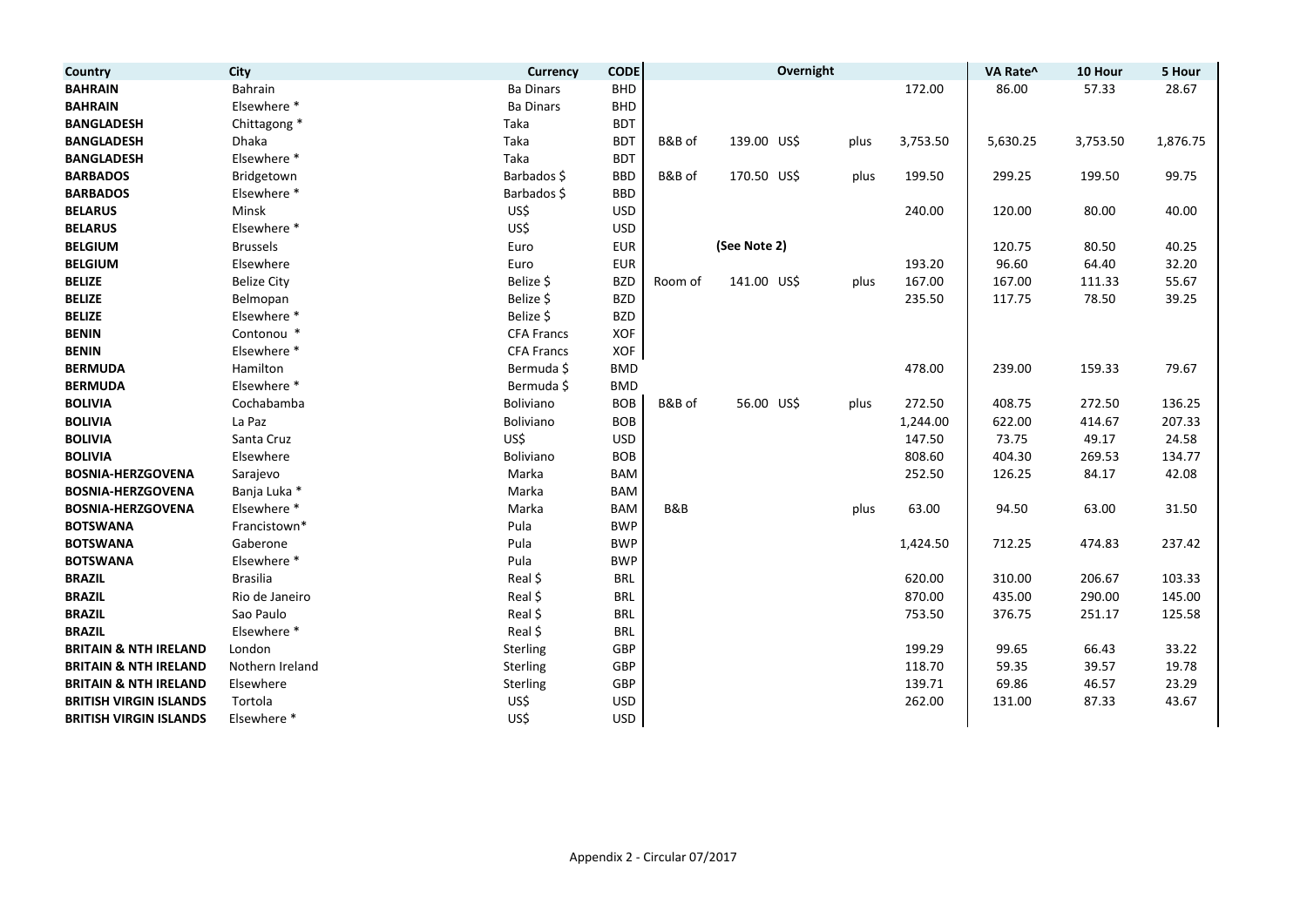| Country                          | City               | <b>Currency</b>   | <b>CODE</b> |                |              | Overnight |      |          | VA Rate^ | 10 Hour  | 5 Hour   |
|----------------------------------|--------------------|-------------------|-------------|----------------|--------------|-----------|------|----------|----------|----------|----------|
| <b>BAHRAIN</b>                   | Bahrain            | <b>Ba Dinars</b>  | <b>BHD</b>  |                |              |           |      | 172.00   | 86.00    | 57.33    | 28.67    |
| <b>BAHRAIN</b>                   | Elsewhere *        | <b>Ba Dinars</b>  | <b>BHD</b>  |                |              |           |      |          |          |          |          |
| <b>BANGLADESH</b>                | Chittagong *       | Taka              | <b>BDT</b>  |                |              |           |      |          |          |          |          |
| <b>BANGLADESH</b>                | Dhaka              | Taka              | <b>BDT</b>  | B&B of         | 139.00 US\$  |           | plus | 3,753.50 | 5,630.25 | 3,753.50 | 1,876.75 |
| <b>BANGLADESH</b>                | Elsewhere *        | Taka              | <b>BDT</b>  |                |              |           |      |          |          |          |          |
| <b>BARBADOS</b>                  | Bridgetown         | Barbados \$       | <b>BBD</b>  | B&B of         | 170.50 US\$  |           | plus | 199.50   | 299.25   | 199.50   | 99.75    |
| <b>BARBADOS</b>                  | Elsewhere *        | Barbados \$       | <b>BBD</b>  |                |              |           |      |          |          |          |          |
| <b>BELARUS</b>                   | Minsk              | US\$              | <b>USD</b>  |                |              |           |      | 240.00   | 120.00   | 80.00    | 40.00    |
| <b>BELARUS</b>                   | Elsewhere *        | US\$              | <b>USD</b>  |                |              |           |      |          |          |          |          |
| <b>BELGIUM</b>                   | <b>Brussels</b>    | Euro              | <b>EUR</b>  |                | (See Note 2) |           |      |          | 120.75   | 80.50    | 40.25    |
| <b>BELGIUM</b>                   | Elsewhere          | Euro              | <b>EUR</b>  |                |              |           |      | 193.20   | 96.60    | 64.40    | 32.20    |
| <b>BELIZE</b>                    | <b>Belize City</b> | Belize \$         | <b>BZD</b>  | Room of        | 141.00 US\$  |           | plus | 167.00   | 167.00   | 111.33   | 55.67    |
| <b>BELIZE</b>                    | Belmopan           | Belize \$         | <b>BZD</b>  |                |              |           |      | 235.50   | 117.75   | 78.50    | 39.25    |
| <b>BELIZE</b>                    | Elsewhere *        | Belize \$         | <b>BZD</b>  |                |              |           |      |          |          |          |          |
| <b>BENIN</b>                     | Contonou *         | <b>CFA Francs</b> | <b>XOF</b>  |                |              |           |      |          |          |          |          |
| <b>BENIN</b>                     | Elsewhere *        | <b>CFA Francs</b> | XOF         |                |              |           |      |          |          |          |          |
| <b>BERMUDA</b>                   | Hamilton           | Bermuda \$        | <b>BMD</b>  |                |              |           |      | 478.00   | 239.00   | 159.33   | 79.67    |
| <b>BERMUDA</b>                   | Elsewhere *        | Bermuda \$        | <b>BMD</b>  |                |              |           |      |          |          |          |          |
| <b>BOLIVIA</b>                   | Cochabamba         | Boliviano         | <b>BOB</b>  | B&B of         | 56.00 US\$   |           | plus | 272.50   | 408.75   | 272.50   | 136.25   |
| <b>BOLIVIA</b>                   | La Paz             | Boliviano         | <b>BOB</b>  |                |              |           |      | 1,244.00 | 622.00   | 414.67   | 207.33   |
| <b>BOLIVIA</b>                   | Santa Cruz         | US\$              | <b>USD</b>  |                |              |           |      | 147.50   | 73.75    | 49.17    | 24.58    |
| <b>BOLIVIA</b>                   | Elsewhere          | Boliviano         | <b>BOB</b>  |                |              |           |      | 808.60   | 404.30   | 269.53   | 134.77   |
| <b>BOSNIA-HERZGOVENA</b>         | Sarajevo           | Marka             | <b>BAM</b>  |                |              |           |      | 252.50   | 126.25   | 84.17    | 42.08    |
| <b>BOSNIA-HERZGOVENA</b>         | Banja Luka *       | Marka             | <b>BAM</b>  |                |              |           |      |          |          |          |          |
| <b>BOSNIA-HERZGOVENA</b>         | Elsewhere *        | Marka             | <b>BAM</b>  | <b>B&amp;B</b> |              |           | plus | 63.00    | 94.50    | 63.00    | 31.50    |
| <b>BOTSWANA</b>                  | Francistown*       | Pula              | <b>BWP</b>  |                |              |           |      |          |          |          |          |
| <b>BOTSWANA</b>                  | Gaberone           | Pula              | <b>BWP</b>  |                |              |           |      | 1,424.50 | 712.25   | 474.83   | 237.42   |
| <b>BOTSWANA</b>                  | Elsewhere *        | Pula              | <b>BWP</b>  |                |              |           |      |          |          |          |          |
| <b>BRAZIL</b>                    | <b>Brasilia</b>    | Real \$           | <b>BRL</b>  |                |              |           |      | 620.00   | 310.00   | 206.67   | 103.33   |
| <b>BRAZIL</b>                    | Rio de Janeiro     | Real \$           | <b>BRL</b>  |                |              |           |      | 870.00   | 435.00   | 290.00   | 145.00   |
| <b>BRAZIL</b>                    | Sao Paulo          | Real \$           | <b>BRL</b>  |                |              |           |      | 753.50   | 376.75   | 251.17   | 125.58   |
| <b>BRAZIL</b>                    | Elsewhere *        | Real \$           | <b>BRL</b>  |                |              |           |      |          |          |          |          |
| <b>BRITAIN &amp; NTH IRELAND</b> | London             | Sterling          | GBP         |                |              |           |      | 199.29   | 99.65    | 66.43    | 33.22    |
| <b>BRITAIN &amp; NTH IRELAND</b> | Nothern Ireland    | Sterling          | GBP         |                |              |           |      | 118.70   | 59.35    | 39.57    | 19.78    |
| <b>BRITAIN &amp; NTH IRELAND</b> | Elsewhere          | Sterling          | GBP         |                |              |           |      | 139.71   | 69.86    | 46.57    | 23.29    |
| <b>BRITISH VIRGIN ISLANDS</b>    | Tortola            | US\$              | <b>USD</b>  |                |              |           |      | 262.00   | 131.00   | 87.33    | 43.67    |
| <b>BRITISH VIRGIN ISLANDS</b>    | Elsewhere *        | US\$              | <b>USD</b>  |                |              |           |      |          |          |          |          |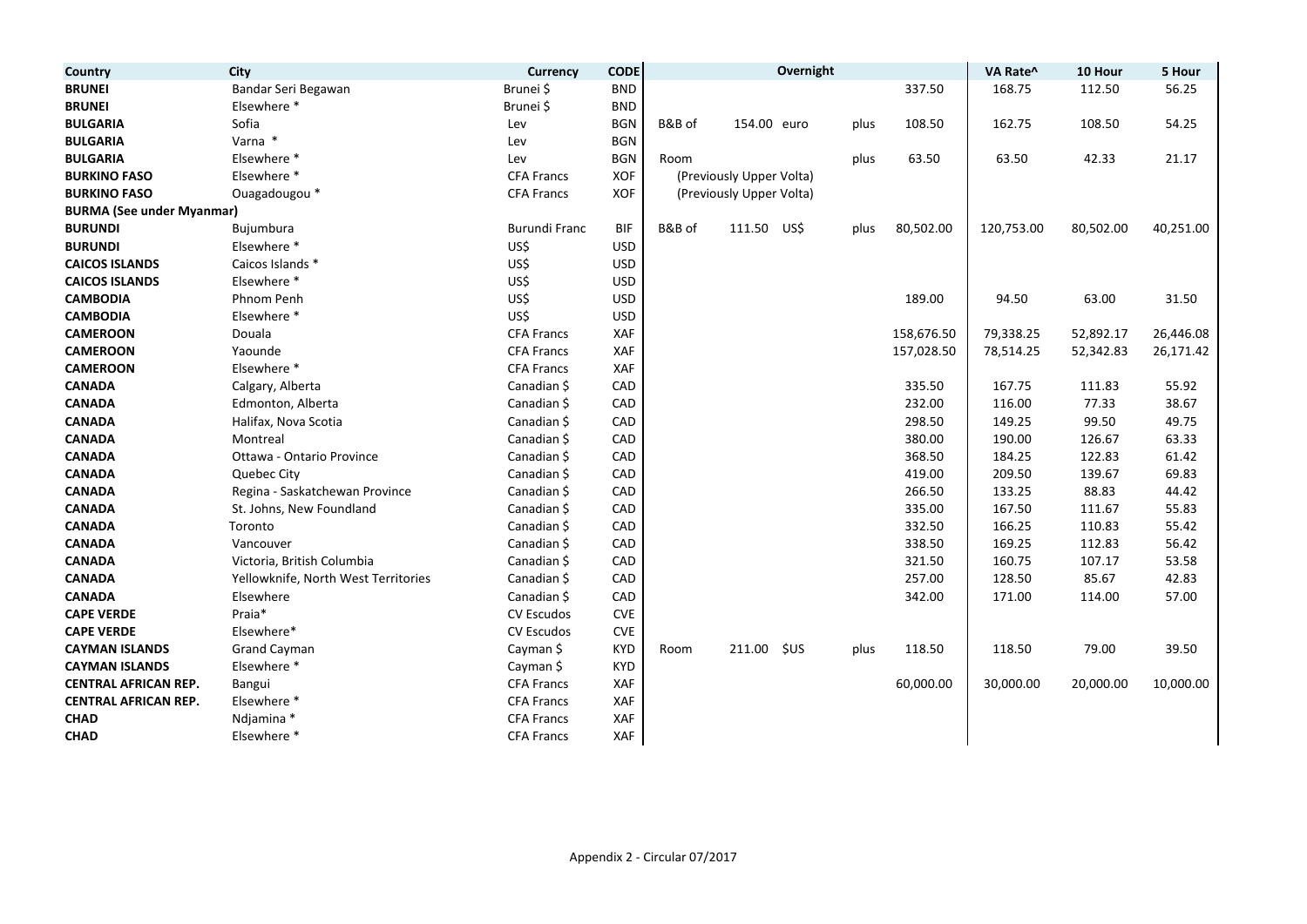| Country                          | City                                | <b>Currency</b>      | <b>CODE</b> |        |                          | Overnight |      |            | VA Rate^   | 10 Hour   | 5 Hour    |
|----------------------------------|-------------------------------------|----------------------|-------------|--------|--------------------------|-----------|------|------------|------------|-----------|-----------|
| <b>BRUNEI</b>                    | Bandar Seri Begawan                 | Brunei \$            | <b>BND</b>  |        |                          |           |      | 337.50     | 168.75     | 112.50    | 56.25     |
| <b>BRUNEI</b>                    | Elsewhere *                         | Brunei \$            | <b>BND</b>  |        |                          |           |      |            |            |           |           |
| <b>BULGARIA</b>                  | Sofia                               | Lev                  | <b>BGN</b>  | B&B of | 154.00 euro              |           | plus | 108.50     | 162.75     | 108.50    | 54.25     |
| <b>BULGARIA</b>                  | Varna *                             | Lev                  | <b>BGN</b>  |        |                          |           |      |            |            |           |           |
| <b>BULGARIA</b>                  | Elsewhere *                         | Lev                  | <b>BGN</b>  | Room   |                          |           | plus | 63.50      | 63.50      | 42.33     | 21.17     |
| <b>BURKINO FASO</b>              | Elsewhere *                         | <b>CFA Francs</b>    | <b>XOF</b>  |        | (Previously Upper Volta) |           |      |            |            |           |           |
| <b>BURKINO FASO</b>              | Ouagadougou *                       | <b>CFA Francs</b>    | XOF         |        | (Previously Upper Volta) |           |      |            |            |           |           |
| <b>BURMA (See under Myanmar)</b> |                                     |                      |             |        |                          |           |      |            |            |           |           |
| <b>BURUNDI</b>                   | Bujumbura                           | <b>Burundi Franc</b> | <b>BIF</b>  | B&B of | 111.50                   | US\$      | plus | 80,502.00  | 120,753.00 | 80,502.00 | 40,251.00 |
| <b>BURUNDI</b>                   | Elsewhere *                         | US\$                 | <b>USD</b>  |        |                          |           |      |            |            |           |           |
| <b>CAICOS ISLANDS</b>            | Caicos Islands *                    | US\$                 | <b>USD</b>  |        |                          |           |      |            |            |           |           |
| <b>CAICOS ISLANDS</b>            | Elsewhere *                         | US\$                 | <b>USD</b>  |        |                          |           |      |            |            |           |           |
| <b>CAMBODIA</b>                  | Phnom Penh                          | US\$                 | <b>USD</b>  |        |                          |           |      | 189.00     | 94.50      | 63.00     | 31.50     |
| <b>CAMBODIA</b>                  | Elsewhere *                         | US\$                 | <b>USD</b>  |        |                          |           |      |            |            |           |           |
| <b>CAMEROON</b>                  | Douala                              | <b>CFA Francs</b>    | XAF         |        |                          |           |      | 158,676.50 | 79,338.25  | 52,892.17 | 26,446.08 |
| <b>CAMEROON</b>                  | Yaounde                             | <b>CFA Francs</b>    | XAF         |        |                          |           |      | 157,028.50 | 78,514.25  | 52,342.83 | 26,171.42 |
| <b>CAMEROON</b>                  | Elsewhere *                         | <b>CFA Francs</b>    | XAF         |        |                          |           |      |            |            |           |           |
| <b>CANADA</b>                    | Calgary, Alberta                    | Canadian \$          | CAD         |        |                          |           |      | 335.50     | 167.75     | 111.83    | 55.92     |
| <b>CANADA</b>                    | Edmonton, Alberta                   | Canadian \$          | CAD         |        |                          |           |      | 232.00     | 116.00     | 77.33     | 38.67     |
| <b>CANADA</b>                    | Halifax, Nova Scotia                | Canadian \$          | CAD         |        |                          |           |      | 298.50     | 149.25     | 99.50     | 49.75     |
| <b>CANADA</b>                    | Montreal                            | Canadian \$          | CAD         |        |                          |           |      | 380.00     | 190.00     | 126.67    | 63.33     |
| <b>CANADA</b>                    | Ottawa - Ontario Province           | Canadian \$          | CAD         |        |                          |           |      | 368.50     | 184.25     | 122.83    | 61.42     |
| <b>CANADA</b>                    | Quebec City                         | Canadian \$          | CAD         |        |                          |           |      | 419.00     | 209.50     | 139.67    | 69.83     |
| <b>CANADA</b>                    | Regina - Saskatchewan Province      | Canadian \$          | CAD         |        |                          |           |      | 266.50     | 133.25     | 88.83     | 44.42     |
| <b>CANADA</b>                    | St. Johns, New Foundland            | Canadian \$          | CAD         |        |                          |           |      | 335.00     | 167.50     | 111.67    | 55.83     |
| <b>CANADA</b>                    | Toronto                             | Canadian \$          | CAD         |        |                          |           |      | 332.50     | 166.25     | 110.83    | 55.42     |
| <b>CANADA</b>                    | Vancouver                           | Canadian \$          | CAD         |        |                          |           |      | 338.50     | 169.25     | 112.83    | 56.42     |
| <b>CANADA</b>                    | Victoria, British Columbia          | Canadian \$          | CAD         |        |                          |           |      | 321.50     | 160.75     | 107.17    | 53.58     |
| <b>CANADA</b>                    | Yellowknife, North West Territories | Canadian \$          | CAD         |        |                          |           |      | 257.00     | 128.50     | 85.67     | 42.83     |
| <b>CANADA</b>                    | Elsewhere                           | Canadian \$          | CAD         |        |                          |           |      | 342.00     | 171.00     | 114.00    | 57.00     |
| <b>CAPE VERDE</b>                | Praia*                              | <b>CV Escudos</b>    | CVE         |        |                          |           |      |            |            |           |           |
| <b>CAPE VERDE</b>                | Elsewhere*                          | <b>CV Escudos</b>    | <b>CVE</b>  |        |                          |           |      |            |            |           |           |
| <b>CAYMAN ISLANDS</b>            | <b>Grand Cayman</b>                 | Cayman \$            | <b>KYD</b>  | Room   | 211.00                   | \$US      | plus | 118.50     | 118.50     | 79.00     | 39.50     |
| <b>CAYMAN ISLANDS</b>            | Elsewhere *                         | Cayman \$            | <b>KYD</b>  |        |                          |           |      |            |            |           |           |
| <b>CENTRAL AFRICAN REP.</b>      | Bangui                              | <b>CFA Francs</b>    | XAF         |        |                          |           |      | 60,000.00  | 30,000.00  | 20,000.00 | 10,000.00 |
| <b>CENTRAL AFRICAN REP.</b>      | Elsewhere *                         | <b>CFA Francs</b>    | XAF         |        |                          |           |      |            |            |           |           |
| <b>CHAD</b>                      | Ndjamina *                          | <b>CFA Francs</b>    | XAF         |        |                          |           |      |            |            |           |           |
| <b>CHAD</b>                      | Elsewhere *                         | <b>CFA Francs</b>    | XAF         |        |                          |           |      |            |            |           |           |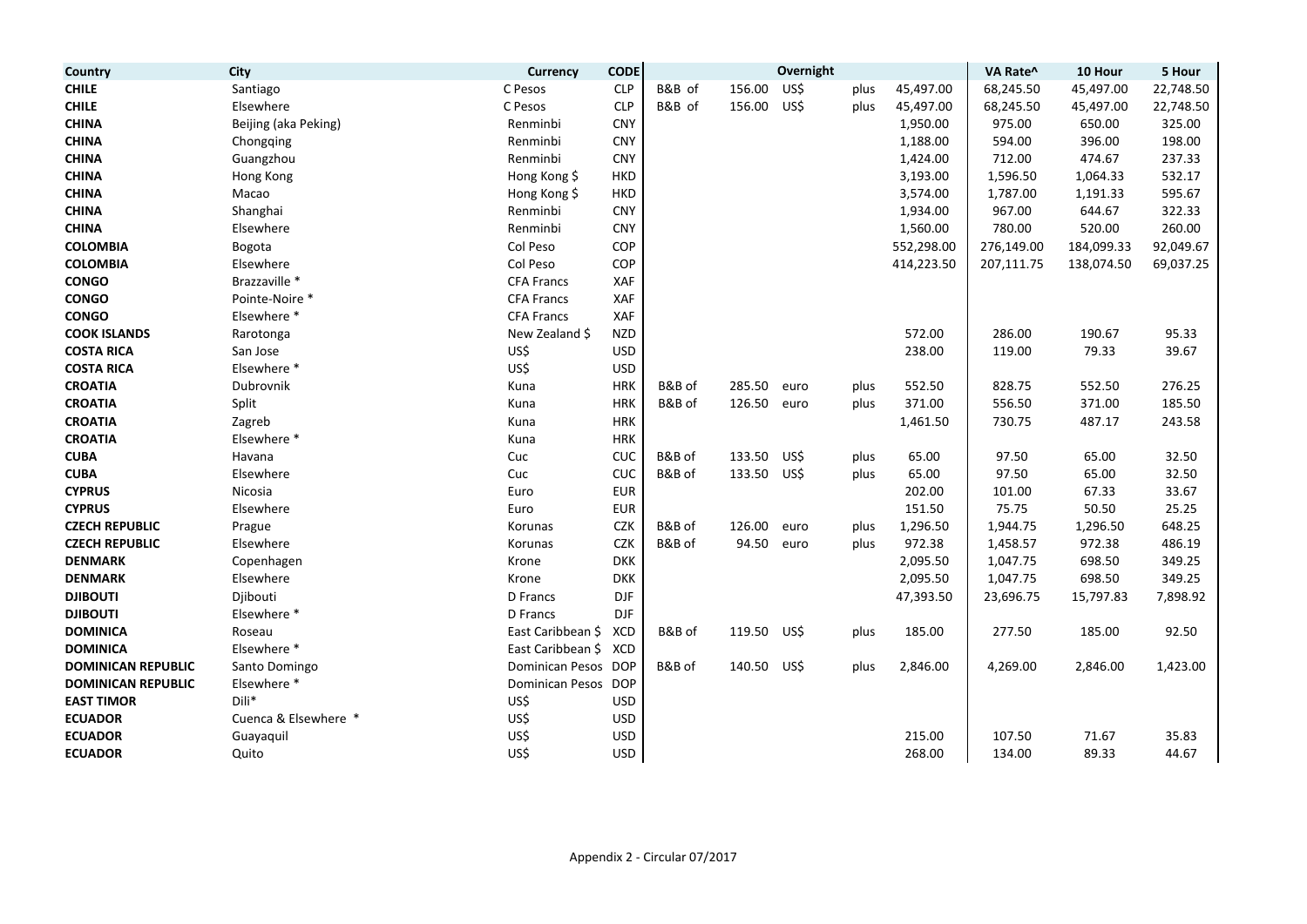| Country                   | <b>City</b>          | Currency               | <b>CODE</b>                      |        |             | Overnight |      |            | VA Rate^   | 10 Hour    | 5 Hour    |
|---------------------------|----------------------|------------------------|----------------------------------|--------|-------------|-----------|------|------------|------------|------------|-----------|
| <b>CHILE</b>              | Santiago             | C Pesos                | <b>CLP</b>                       | B&B of | 156.00      | US\$      | plus | 45,497.00  | 68,245.50  | 45,497.00  | 22,748.50 |
| <b>CHILE</b>              | Elsewhere            | C Pesos                | <b>CLP</b>                       | B&B of | 156.00      | US\$      | plus | 45,497.00  | 68,245.50  | 45,497.00  | 22,748.50 |
| <b>CHINA</b>              | Beijing (aka Peking) | Renminbi               | <b>CNY</b>                       |        |             |           |      | 1,950.00   | 975.00     | 650.00     | 325.00    |
| <b>CHINA</b>              | Chongqing            | Renminbi               | <b>CNY</b>                       |        |             |           |      | 1,188.00   | 594.00     | 396.00     | 198.00    |
| <b>CHINA</b>              | Guangzhou            | Renminbi               | <b>CNY</b>                       |        |             |           |      | 1,424.00   | 712.00     | 474.67     | 237.33    |
| <b>CHINA</b>              | Hong Kong            | Hong Kong \$           | <b>HKD</b>                       |        |             |           |      | 3,193.00   | 1,596.50   | 1,064.33   | 532.17    |
| <b>CHINA</b>              | Macao                | Hong Kong \$           | <b>HKD</b>                       |        |             |           |      | 3,574.00   | 1,787.00   | 1,191.33   | 595.67    |
| <b>CHINA</b>              | Shanghai             | Renminbi               | <b>CNY</b>                       |        |             |           |      | 1,934.00   | 967.00     | 644.67     | 322.33    |
| <b>CHINA</b>              | Elsewhere            | Renminbi               | <b>CNY</b>                       |        |             |           |      | 1,560.00   | 780.00     | 520.00     | 260.00    |
| <b>COLOMBIA</b>           | Bogota               | Col Peso               | COP                              |        |             |           |      | 552,298.00 | 276,149.00 | 184,099.33 | 92,049.67 |
| <b>COLOMBIA</b>           | Elsewhere            | Col Peso               | COP                              |        |             |           |      | 414,223.50 | 207,111.75 | 138,074.50 | 69,037.25 |
| <b>CONGO</b>              | Brazzaville *        | <b>CFA Francs</b>      | XAF                              |        |             |           |      |            |            |            |           |
| <b>CONGO</b>              | Pointe-Noire *       | <b>CFA Francs</b>      | XAF                              |        |             |           |      |            |            |            |           |
| <b>CONGO</b>              | Elsewhere *          | <b>CFA Francs</b>      | XAF                              |        |             |           |      |            |            |            |           |
| <b>COOK ISLANDS</b>       | Rarotonga            | New Zealand \$         | <b>NZD</b>                       |        |             |           |      | 572.00     | 286.00     | 190.67     | 95.33     |
| <b>COSTA RICA</b>         | San Jose             | US\$                   | <b>USD</b>                       |        |             |           |      | 238.00     | 119.00     | 79.33      | 39.67     |
| <b>COSTA RICA</b>         | Elsewhere *          | US\$                   | <b>USD</b>                       |        |             |           |      |            |            |            |           |
| <b>CROATIA</b>            | Dubrovnik            | Kuna                   | <b>HRK</b>                       | B&B of | 285.50      | euro      | plus | 552.50     | 828.75     | 552.50     | 276.25    |
| <b>CROATIA</b>            | Split                | Kuna                   | <b>HRK</b>                       | B&B of | 126.50      | euro      | plus | 371.00     | 556.50     | 371.00     | 185.50    |
| <b>CROATIA</b>            | Zagreb               | Kuna                   | <b>HRK</b>                       |        |             |           |      | 1,461.50   | 730.75     | 487.17     | 243.58    |
| <b>CROATIA</b>            | Elsewhere *          | Kuna                   | <b>HRK</b>                       |        |             |           |      |            |            |            |           |
| <b>CUBA</b>               | Havana               | Cuc                    | CUC                              | B&B of | 133.50      | US\$      | plus | 65.00      | 97.50      | 65.00      | 32.50     |
| <b>CUBA</b>               | Elsewhere            | Cuc                    | CUC                              | B&B of | 133.50 US\$ |           | plus | 65.00      | 97.50      | 65.00      | 32.50     |
| <b>CYPRUS</b>             | Nicosia              | Euro                   | <b>EUR</b>                       |        |             |           |      | 202.00     | 101.00     | 67.33      | 33.67     |
| <b>CYPRUS</b>             | Elsewhere            | Euro                   | <b>EUR</b>                       |        |             |           |      | 151.50     | 75.75      | 50.50      | 25.25     |
| <b>CZECH REPUBLIC</b>     | Prague               | Korunas                | <b>CZK</b>                       | B&B of | 126.00      | euro      | plus | 1,296.50   | 1,944.75   | 1,296.50   | 648.25    |
| <b>CZECH REPUBLIC</b>     | Elsewhere            | Korunas                | <b>CZK</b>                       | B&B of | 94.50       | euro      | plus | 972.38     | 1,458.57   | 972.38     | 486.19    |
| <b>DENMARK</b>            | Copenhagen           | Krone                  | <b>DKK</b>                       |        |             |           |      | 2,095.50   | 1,047.75   | 698.50     | 349.25    |
| <b>DENMARK</b>            | Elsewhere            | Krone                  | <b>DKK</b>                       |        |             |           |      | 2,095.50   | 1,047.75   | 698.50     | 349.25    |
| <b>DJIBOUTI</b>           | Djibouti             | D Francs               | $\mathsf{D}\mathsf{J}\mathsf{F}$ |        |             |           |      | 47,393.50  | 23,696.75  | 15,797.83  | 7,898.92  |
| <b>DJIBOUTI</b>           | Elsewhere *          | D Francs               | <b>DJF</b>                       |        |             |           |      |            |            |            |           |
| <b>DOMINICA</b>           | Roseau               | East Caribbean \$      | <b>XCD</b>                       | B&B of | 119.50 US\$ |           | plus | 185.00     | 277.50     | 185.00     | 92.50     |
| <b>DOMINICA</b>           | Elsewhere *          | East Caribbean \$      | XCD                              |        |             |           |      |            |            |            |           |
| <b>DOMINICAN REPUBLIC</b> | Santo Domingo        | Dominican Pesos DOP    |                                  | B&B of | 140.50 US\$ |           | plus | 2,846.00   | 4,269.00   | 2,846.00   | 1,423.00  |
| <b>DOMINICAN REPUBLIC</b> | Elsewhere *          | <b>Dominican Pesos</b> | <b>DOP</b>                       |        |             |           |      |            |            |            |           |
| <b>EAST TIMOR</b>         | Dili*                | US\$                   | <b>USD</b>                       |        |             |           |      |            |            |            |           |
| <b>ECUADOR</b>            | Cuenca & Elsewhere * | US\$                   | <b>USD</b>                       |        |             |           |      |            |            |            |           |
| <b>ECUADOR</b>            | Guayaquil            | US\$                   | <b>USD</b>                       |        |             |           |      | 215.00     | 107.50     | 71.67      | 35.83     |
| <b>ECUADOR</b>            | Quito                | US\$                   | <b>USD</b>                       |        |             |           |      | 268.00     | 134.00     | 89.33      | 44.67     |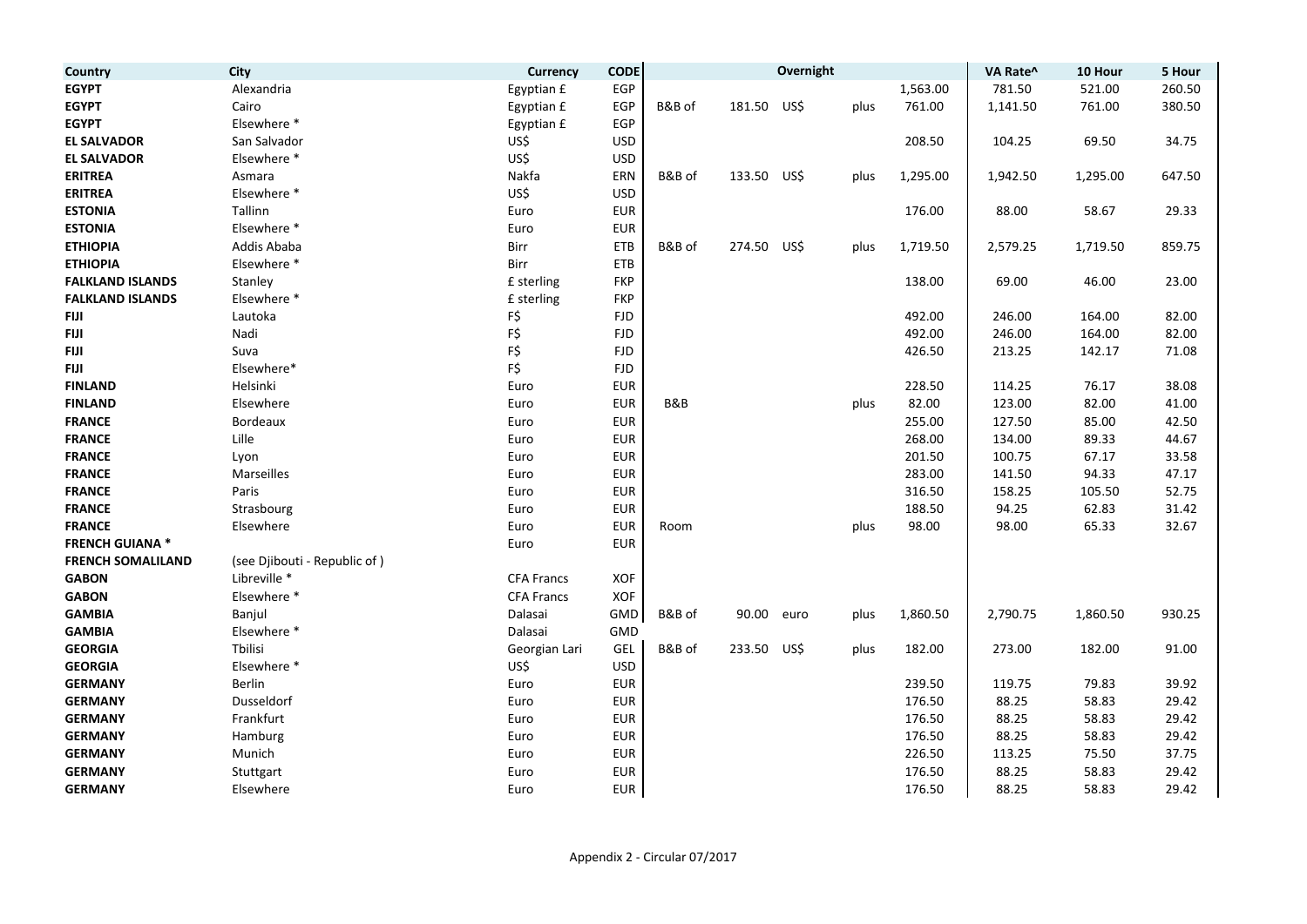| Country                  | City                         | <b>Currency</b>   | <b>CODE</b> |        |            | Overnight |      |          | VA Rate^ | 10 Hour  | 5 Hour |
|--------------------------|------------------------------|-------------------|-------------|--------|------------|-----------|------|----------|----------|----------|--------|
| <b>EGYPT</b>             | Alexandria                   | Egyptian £        | EGP         |        |            |           |      | 1,563.00 | 781.50   | 521.00   | 260.50 |
| <b>EGYPT</b>             | Cairo                        | Egyptian £        | EGP         | B&B of | 181.50     | US\$      | plus | 761.00   | 1,141.50 | 761.00   | 380.50 |
| <b>EGYPT</b>             | Elsewhere *                  | Egyptian £        | EGP         |        |            |           |      |          |          |          |        |
| <b>EL SALVADOR</b>       | San Salvador                 | US\$              | <b>USD</b>  |        |            |           |      | 208.50   | 104.25   | 69.50    | 34.75  |
| <b>EL SALVADOR</b>       | Elsewhere *                  | US\$              | <b>USD</b>  |        |            |           |      |          |          |          |        |
| <b>ERITREA</b>           | Asmara                       | Nakfa             | ERN         | B&B of | 133.50     | US\$      | plus | 1,295.00 | 1,942.50 | 1,295.00 | 647.50 |
| <b>ERITREA</b>           | Elsewhere *                  | US\$              | <b>USD</b>  |        |            |           |      |          |          |          |        |
| <b>ESTONIA</b>           | Tallinn                      | Euro              | <b>EUR</b>  |        |            |           |      | 176.00   | 88.00    | 58.67    | 29.33  |
| <b>ESTONIA</b>           | Elsewhere *                  | Euro              | <b>EUR</b>  |        |            |           |      |          |          |          |        |
| <b>ETHIOPIA</b>          | Addis Ababa                  | Birr              | <b>ETB</b>  | B&B of | 274.50     | US\$      | plus | 1,719.50 | 2,579.25 | 1,719.50 | 859.75 |
| <b>ETHIOPIA</b>          | Elsewhere *                  | Birr              | ETB         |        |            |           |      |          |          |          |        |
| <b>FALKLAND ISLANDS</b>  | Stanley                      | £ sterling        | <b>FKP</b>  |        |            |           |      | 138.00   | 69.00    | 46.00    | 23.00  |
| <b>FALKLAND ISLANDS</b>  | Elsewhere *                  | £ sterling        | <b>FKP</b>  |        |            |           |      |          |          |          |        |
| <b>FIJI</b>              | Lautoka                      | F\$               | <b>FJD</b>  |        |            |           |      | 492.00   | 246.00   | 164.00   | 82.00  |
| <b>FIJI</b>              | Nadi                         | F\$               | <b>FJD</b>  |        |            |           |      | 492.00   | 246.00   | 164.00   | 82.00  |
| <b>FIJI</b>              | Suva                         | F\$               | <b>FJD</b>  |        |            |           |      | 426.50   | 213.25   | 142.17   | 71.08  |
| <b>FIJI</b>              | Elsewhere*                   | F\$               | <b>FJD</b>  |        |            |           |      |          |          |          |        |
| <b>FINLAND</b>           | Helsinki                     | Euro              | <b>EUR</b>  |        |            |           |      | 228.50   | 114.25   | 76.17    | 38.08  |
| <b>FINLAND</b>           | Elsewhere                    | Euro              | <b>EUR</b>  | B&B    |            |           | plus | 82.00    | 123.00   | 82.00    | 41.00  |
| <b>FRANCE</b>            | <b>Bordeaux</b>              | Euro              | <b>EUR</b>  |        |            |           |      | 255.00   | 127.50   | 85.00    | 42.50  |
| <b>FRANCE</b>            | Lille                        | Euro              | <b>EUR</b>  |        |            |           |      | 268.00   | 134.00   | 89.33    | 44.67  |
| <b>FRANCE</b>            | Lyon                         | Euro              | <b>EUR</b>  |        |            |           |      | 201.50   | 100.75   | 67.17    | 33.58  |
| <b>FRANCE</b>            | Marseilles                   | Euro              | <b>EUR</b>  |        |            |           |      | 283.00   | 141.50   | 94.33    | 47.17  |
| <b>FRANCE</b>            | Paris                        | Euro              | <b>EUR</b>  |        |            |           |      | 316.50   | 158.25   | 105.50   | 52.75  |
| <b>FRANCE</b>            | Strasbourg                   | Euro              | <b>EUR</b>  |        |            |           |      | 188.50   | 94.25    | 62.83    | 31.42  |
| <b>FRANCE</b>            | Elsewhere                    | Euro              | <b>EUR</b>  | Room   |            |           | plus | 98.00    | 98.00    | 65.33    | 32.67  |
| <b>FRENCH GUIANA*</b>    |                              | Euro              | <b>EUR</b>  |        |            |           |      |          |          |          |        |
| <b>FRENCH SOMALILAND</b> | (see Djibouti - Republic of) |                   |             |        |            |           |      |          |          |          |        |
| <b>GABON</b>             | Libreville *                 | <b>CFA Francs</b> | XOF         |        |            |           |      |          |          |          |        |
| <b>GABON</b>             | Elsewhere *                  | <b>CFA Francs</b> | XOF         |        |            |           |      |          |          |          |        |
| <b>GAMBIA</b>            | Banjul                       | Dalasai           | GMD         | B&B of | 90.00 euro |           | plus | 1,860.50 | 2,790.75 | 1,860.50 | 930.25 |
| <b>GAMBIA</b>            | Elsewhere *                  | Dalasai           | GMD         |        |            |           |      |          |          |          |        |
| <b>GEORGIA</b>           | <b>Thilisi</b>               | Georgian Lari     | GEL         | B&B of | 233.50     | US\$      | plus | 182.00   | 273.00   | 182.00   | 91.00  |
| <b>GEORGIA</b>           | Elsewhere *                  | US\$              | <b>USD</b>  |        |            |           |      |          |          |          |        |
| <b>GERMANY</b>           | Berlin                       | Euro              | <b>EUR</b>  |        |            |           |      | 239.50   | 119.75   | 79.83    | 39.92  |
| <b>GERMANY</b>           | Dusseldorf                   | Euro              | <b>EUR</b>  |        |            |           |      | 176.50   | 88.25    | 58.83    | 29.42  |
| <b>GERMANY</b>           | Frankfurt                    | Euro              | <b>EUR</b>  |        |            |           |      | 176.50   | 88.25    | 58.83    | 29.42  |
| <b>GERMANY</b>           | Hamburg                      | Euro              | <b>EUR</b>  |        |            |           |      | 176.50   | 88.25    | 58.83    | 29.42  |
| <b>GERMANY</b>           | Munich                       | Euro              | <b>EUR</b>  |        |            |           |      | 226.50   | 113.25   | 75.50    | 37.75  |
| <b>GERMANY</b>           | Stuttgart                    | Euro              | <b>EUR</b>  |        |            |           |      | 176.50   | 88.25    | 58.83    | 29.42  |
| <b>GERMANY</b>           | Elsewhere                    | Euro              | <b>EUR</b>  |        |            |           |      | 176.50   | 88.25    | 58.83    | 29.42  |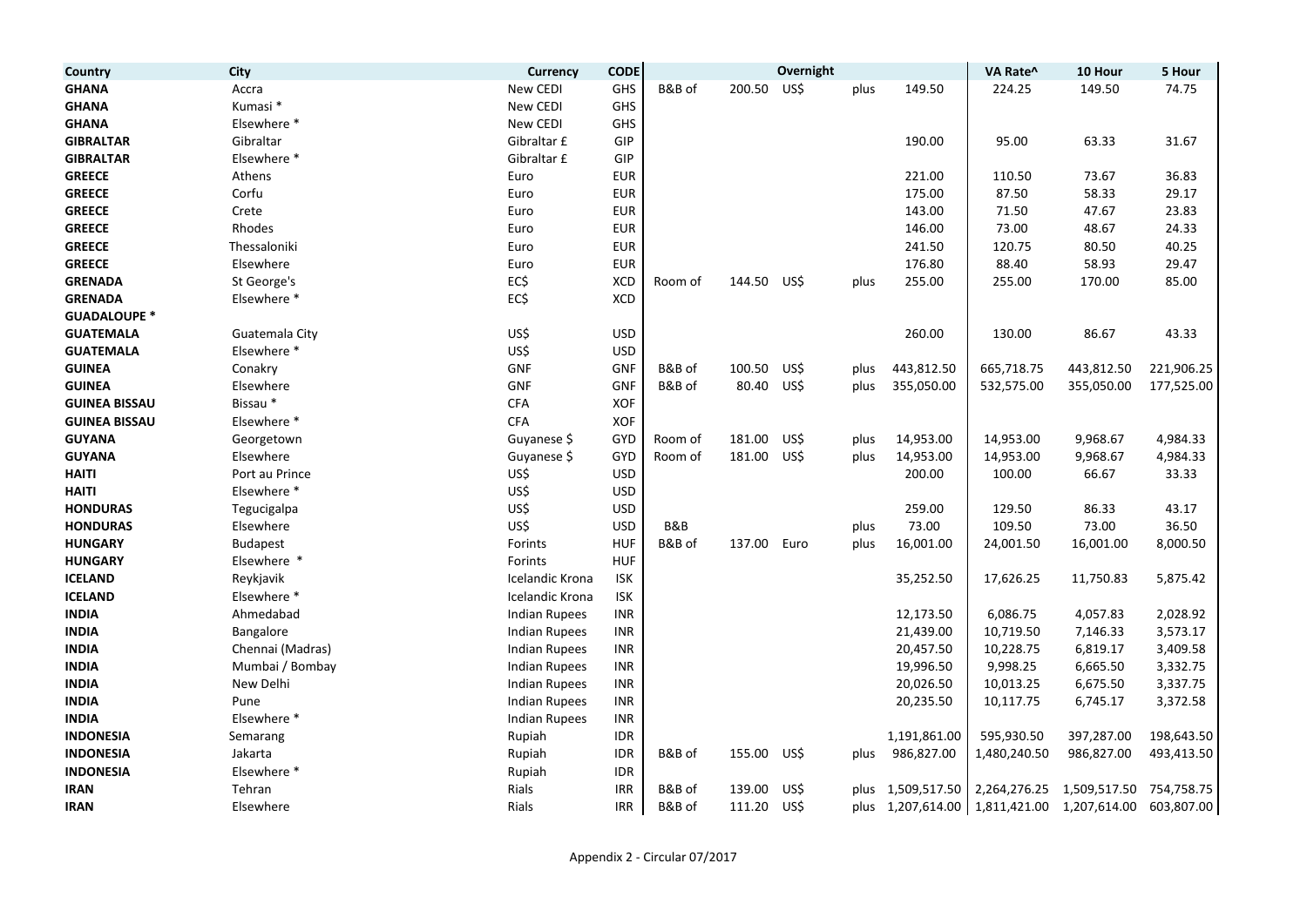| Country              | <b>City</b>      | <b>Currency</b>        | <b>CODE</b> |         |        | Overnight |      |                   | VA Rate^                  | 10 Hour      | 5 Hour     |
|----------------------|------------------|------------------------|-------------|---------|--------|-----------|------|-------------------|---------------------------|--------------|------------|
| <b>GHANA</b>         | Accra            | New CEDI               | GHS         | B&B of  | 200.50 | US\$      | plus | 149.50            | 224.25                    | 149.50       | 74.75      |
| <b>GHANA</b>         | Kumasi *         | New CEDI               | <b>GHS</b>  |         |        |           |      |                   |                           |              |            |
| <b>GHANA</b>         | Elsewhere *      | New CEDI               | GHS         |         |        |           |      |                   |                           |              |            |
| <b>GIBRALTAR</b>     | Gibraltar        | Gibraltar £            | GIP         |         |        |           |      | 190.00            | 95.00                     | 63.33        | 31.67      |
| <b>GIBRALTAR</b>     | Elsewhere *      | Gibraltar £            | GIP         |         |        |           |      |                   |                           |              |            |
| <b>GREECE</b>        | Athens           | Euro                   | <b>EUR</b>  |         |        |           |      | 221.00            | 110.50                    | 73.67        | 36.83      |
| <b>GREECE</b>        | Corfu            | Euro                   | <b>EUR</b>  |         |        |           |      | 175.00            | 87.50                     | 58.33        | 29.17      |
| <b>GREECE</b>        | Crete            | Euro                   | <b>EUR</b>  |         |        |           |      | 143.00            | 71.50                     | 47.67        | 23.83      |
| <b>GREECE</b>        | Rhodes           | Euro                   | <b>EUR</b>  |         |        |           |      | 146.00            | 73.00                     | 48.67        | 24.33      |
| <b>GREECE</b>        | Thessaloniki     | Euro                   | <b>EUR</b>  |         |        |           |      | 241.50            | 120.75                    | 80.50        | 40.25      |
| <b>GREECE</b>        | Elsewhere        | Euro                   | <b>EUR</b>  |         |        |           |      | 176.80            | 88.40                     | 58.93        | 29.47      |
| <b>GRENADA</b>       | St George's      | EC\$                   | XCD         | Room of | 144.50 | US\$      | plus | 255.00            | 255.00                    | 170.00       | 85.00      |
| <b>GRENADA</b>       | Elsewhere *      | EC\$                   | XCD         |         |        |           |      |                   |                           |              |            |
| <b>GUADALOUPE *</b>  |                  |                        |             |         |        |           |      |                   |                           |              |            |
| <b>GUATEMALA</b>     | Guatemala City   | US\$                   | <b>USD</b>  |         |        |           |      | 260.00            | 130.00                    | 86.67        | 43.33      |
| <b>GUATEMALA</b>     | Elsewhere *      | US\$                   | <b>USD</b>  |         |        |           |      |                   |                           |              |            |
| <b>GUINEA</b>        | Conakry          | GNF                    | GNF         | B&B of  | 100.50 | US\$      | plus | 443,812.50        | 665,718.75                | 443,812.50   | 221,906.25 |
| <b>GUINEA</b>        | Elsewhere        | <b>GNF</b>             | GNF         | B&B of  | 80.40  | US\$      | plus | 355,050.00        | 532,575.00                | 355,050.00   | 177,525.00 |
| <b>GUINEA BISSAU</b> | Bissau*          | <b>CFA</b>             | XOF         |         |        |           |      |                   |                           |              |            |
| <b>GUINEA BISSAU</b> | Elsewhere *      | <b>CFA</b>             | XOF         |         |        |           |      |                   |                           |              |            |
| <b>GUYANA</b>        | Georgetown       | Guyanese \$            | GYD         | Room of | 181.00 | US\$      | plus | 14,953.00         | 14,953.00                 | 9,968.67     | 4,984.33   |
| <b>GUYANA</b>        | Elsewhere        | Guyanese \$            | GYD         | Room of | 181.00 | US\$      | plus | 14,953.00         | 14,953.00                 | 9,968.67     | 4,984.33   |
| <b>HAITI</b>         | Port au Prince   | US\$                   | <b>USD</b>  |         |        |           |      | 200.00            | 100.00                    | 66.67        | 33.33      |
| <b>HAITI</b>         | Elsewhere *      | US\$                   | <b>USD</b>  |         |        |           |      |                   |                           |              |            |
| <b>HONDURAS</b>      | Tegucigalpa      | US\$                   | <b>USD</b>  |         |        |           |      | 259.00            | 129.50                    | 86.33        | 43.17      |
| <b>HONDURAS</b>      | Elsewhere        | US\$                   | <b>USD</b>  | B&B     |        |           | plus | 73.00             | 109.50                    | 73.00        | 36.50      |
| <b>HUNGARY</b>       | <b>Budapest</b>  | Forints                | <b>HUF</b>  | B&B of  | 137.00 | Euro      | plus | 16,001.00         | 24,001.50                 | 16,001.00    | 8,000.50   |
| <b>HUNGARY</b>       | Elsewhere *      | Forints                | <b>HUF</b>  |         |        |           |      |                   |                           |              |            |
| <b>ICELAND</b>       | Reykjavik        | <b>Icelandic Krona</b> | <b>ISK</b>  |         |        |           |      | 35,252.50         | 17,626.25                 | 11,750.83    | 5,875.42   |
| <b>ICELAND</b>       | Elsewhere *      | Icelandic Krona        | ISK         |         |        |           |      |                   |                           |              |            |
| <b>INDIA</b>         | Ahmedabad        | Indian Rupees          | <b>INR</b>  |         |        |           |      | 12,173.50         | 6,086.75                  | 4,057.83     | 2,028.92   |
| <b>INDIA</b>         | Bangalore        | <b>Indian Rupees</b>   | <b>INR</b>  |         |        |           |      | 21,439.00         | 10,719.50                 | 7,146.33     | 3,573.17   |
| <b>INDIA</b>         | Chennai (Madras) | <b>Indian Rupees</b>   | INR         |         |        |           |      | 20,457.50         | 10,228.75                 | 6,819.17     | 3,409.58   |
| <b>INDIA</b>         | Mumbai / Bombay  | Indian Rupees          | <b>INR</b>  |         |        |           |      | 19,996.50         | 9,998.25                  | 6,665.50     | 3,332.75   |
| <b>INDIA</b>         | New Delhi        | <b>Indian Rupees</b>   | <b>INR</b>  |         |        |           |      | 20,026.50         | 10,013.25                 | 6,675.50     | 3,337.75   |
| <b>INDIA</b>         | Pune             | <b>Indian Rupees</b>   | <b>INR</b>  |         |        |           |      | 20,235.50         | 10,117.75                 | 6,745.17     | 3,372.58   |
| <b>INDIA</b>         | Elsewhere *      | <b>Indian Rupees</b>   | INR         |         |        |           |      |                   |                           |              |            |
| <b>INDONESIA</b>     | Semarang         | Rupiah                 | <b>IDR</b>  |         |        |           |      | 1,191,861.00      | 595,930.50                | 397,287.00   | 198,643.50 |
| <b>INDONESIA</b>     | Jakarta          | Rupiah                 | <b>IDR</b>  | B&B of  | 155.00 | US\$      | plus | 986,827.00        | 1,480,240.50              | 986,827.00   | 493,413.50 |
| <b>INDONESIA</b>     | Elsewhere *      | Rupiah                 | <b>IDR</b>  |         |        |           |      |                   |                           |              |            |
| <b>IRAN</b>          | Tehran           | Rials                  | <b>IRR</b>  | B&B of  | 139.00 | US\$      |      | plus 1,509,517.50 | 2,264,276.25              | 1,509,517.50 | 754,758.75 |
| <b>IRAN</b>          | Elsewhere        | Rials                  | <b>IRR</b>  | B&B of  | 111.20 | US\$      |      | plus 1,207,614.00 | 1,811,421.00 1,207,614.00 |              | 603,807.00 |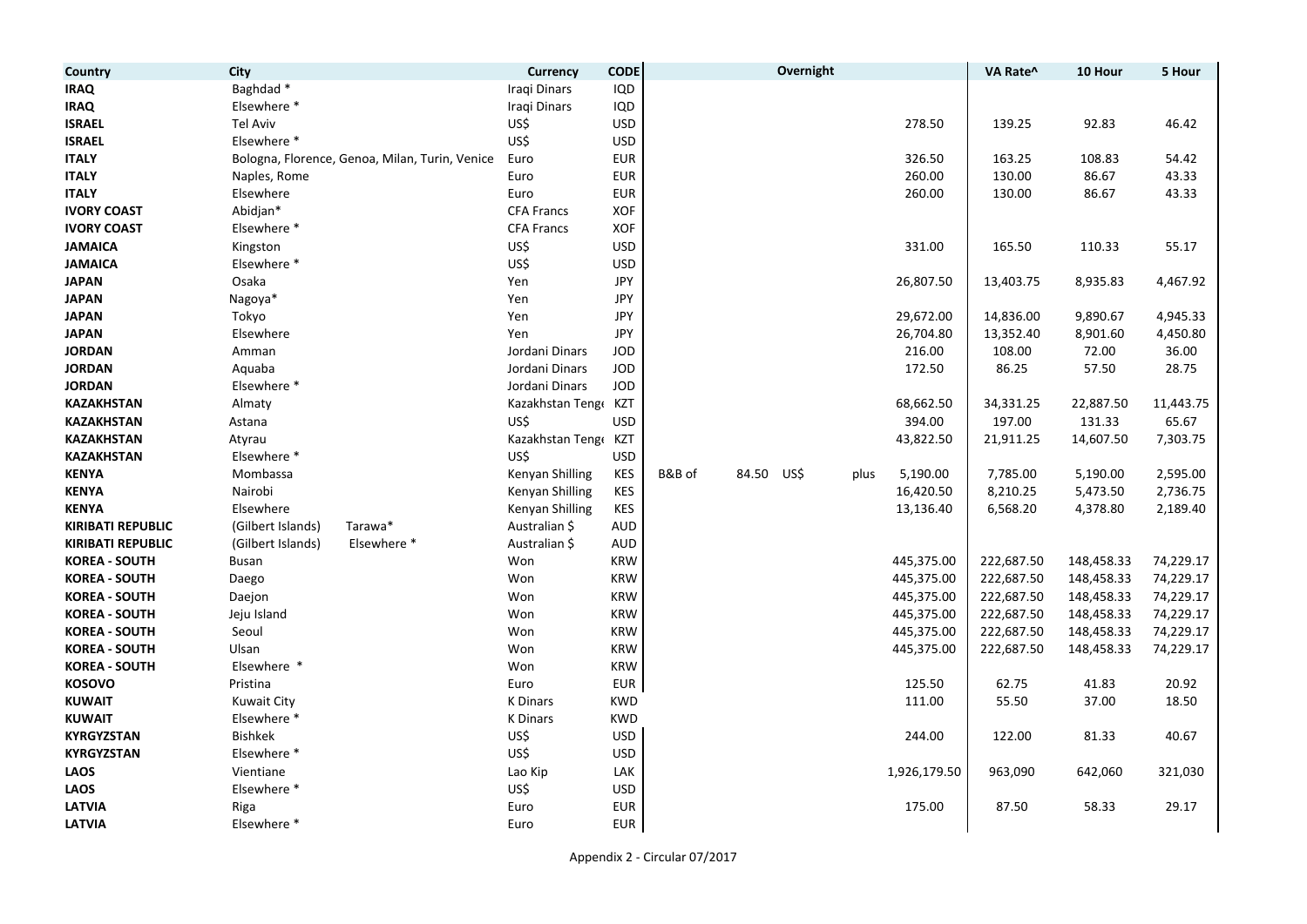| Country                  | City                                           | <b>Currency</b>   | <b>CODE</b> |                      | Overnight |              | VA Rate^   | 10 Hour    | 5 Hour    |
|--------------------------|------------------------------------------------|-------------------|-------------|----------------------|-----------|--------------|------------|------------|-----------|
| IRAQ                     | Baghdad*                                       | Iraqi Dinars      | IQD         |                      |           |              |            |            |           |
| <b>IRAQ</b>              | Elsewhere *                                    | Iraqi Dinars      | IQD         |                      |           |              |            |            |           |
| <b>ISRAEL</b>            | <b>Tel Aviv</b>                                | US\$              | <b>USD</b>  |                      |           | 278.50       | 139.25     | 92.83      | 46.42     |
| <b>ISRAEL</b>            | Elsewhere *                                    | US\$              | <b>USD</b>  |                      |           |              |            |            |           |
| <b>ITALY</b>             | Bologna, Florence, Genoa, Milan, Turin, Venice | Euro              | <b>EUR</b>  |                      |           | 326.50       | 163.25     | 108.83     | 54.42     |
| <b>ITALY</b>             | Naples, Rome                                   | Euro              | <b>EUR</b>  |                      |           | 260.00       | 130.00     | 86.67      | 43.33     |
| <b>ITALY</b>             | Elsewhere                                      | Euro              | <b>EUR</b>  |                      |           | 260.00       | 130.00     | 86.67      | 43.33     |
| <b>IVORY COAST</b>       | Abidjan*                                       | <b>CFA Francs</b> | <b>XOF</b>  |                      |           |              |            |            |           |
| <b>IVORY COAST</b>       | Elsewhere *                                    | <b>CFA Francs</b> | <b>XOF</b>  |                      |           |              |            |            |           |
| <b>JAMAICA</b>           | Kingston                                       | US\$              | <b>USD</b>  |                      |           | 331.00       | 165.50     | 110.33     | 55.17     |
| <b>JAMAICA</b>           | Elsewhere *                                    | US\$              | <b>USD</b>  |                      |           |              |            |            |           |
| <b>JAPAN</b>             | Osaka                                          | Yen               | JPY         |                      |           | 26,807.50    | 13,403.75  | 8,935.83   | 4,467.92  |
| <b>JAPAN</b>             | Nagoya*                                        | Yen               | <b>JPY</b>  |                      |           |              |            |            |           |
| <b>JAPAN</b>             | Tokyo                                          | Yen               | JPY         |                      |           | 29,672.00    | 14,836.00  | 9,890.67   | 4,945.33  |
| <b>JAPAN</b>             | Elsewhere                                      | Yen               | JPY         |                      |           | 26,704.80    | 13,352.40  | 8,901.60   | 4,450.80  |
| <b>JORDAN</b>            | Amman                                          | Jordani Dinars    | <b>JOD</b>  |                      |           | 216.00       | 108.00     | 72.00      | 36.00     |
| <b>JORDAN</b>            | Aquaba                                         | Jordani Dinars    | <b>JOD</b>  |                      |           | 172.50       | 86.25      | 57.50      | 28.75     |
| <b>JORDAN</b>            | Elsewhere *                                    | Jordani Dinars    | <b>JOD</b>  |                      |           |              |            |            |           |
| <b>KAZAKHSTAN</b>        | Almaty                                         | Kazakhstan Tenge  | KZT         |                      |           | 68,662.50    | 34,331.25  | 22,887.50  | 11,443.75 |
| <b>KAZAKHSTAN</b>        | Astana                                         | US\$              | <b>USD</b>  |                      |           | 394.00       | 197.00     | 131.33     | 65.67     |
| <b>KAZAKHSTAN</b>        | Atyrau                                         | Kazakhstan Teng   | KZT         |                      |           | 43,822.50    | 21,911.25  | 14,607.50  | 7,303.75  |
| <b>KAZAKHSTAN</b>        | Elsewhere *                                    | US\$              | <b>USD</b>  |                      |           |              |            |            |           |
| <b>KENYA</b>             | Mombassa                                       | Kenyan Shilling   | KES         | B&B of<br>84.50 US\$ | plus      | 5,190.00     | 7,785.00   | 5,190.00   | 2,595.00  |
| <b>KENYA</b>             | Nairobi                                        | Kenyan Shilling   | <b>KES</b>  |                      |           | 16,420.50    | 8,210.25   | 5,473.50   | 2,736.75  |
| <b>KENYA</b>             | Elsewhere                                      | Kenyan Shilling   | <b>KES</b>  |                      |           | 13,136.40    | 6,568.20   | 4,378.80   | 2,189.40  |
| <b>KIRIBATI REPUBLIC</b> | (Gilbert Islands)<br>Tarawa*                   | Australian \$     | <b>AUD</b>  |                      |           |              |            |            |           |
| <b>KIRIBATI REPUBLIC</b> | Elsewhere *<br>(Gilbert Islands)               | Australian \$     | <b>AUD</b>  |                      |           |              |            |            |           |
| <b>KOREA - SOUTH</b>     | Busan                                          | Won               | <b>KRW</b>  |                      |           | 445,375.00   | 222,687.50 | 148,458.33 | 74,229.17 |
| <b>KOREA - SOUTH</b>     | Daego                                          | Won               | <b>KRW</b>  |                      |           | 445,375.00   | 222,687.50 | 148,458.33 | 74,229.17 |
| <b>KOREA - SOUTH</b>     | Daejon                                         | Won               | <b>KRW</b>  |                      |           | 445,375.00   | 222,687.50 | 148,458.33 | 74,229.17 |
| <b>KOREA - SOUTH</b>     | Jeju Island                                    | Won               | <b>KRW</b>  |                      |           | 445,375.00   | 222,687.50 | 148,458.33 | 74,229.17 |
| <b>KOREA - SOUTH</b>     | Seoul                                          | Won               | <b>KRW</b>  |                      |           | 445,375.00   | 222,687.50 | 148,458.33 | 74,229.17 |
| <b>KOREA - SOUTH</b>     | Ulsan                                          | Won               | <b>KRW</b>  |                      |           | 445,375.00   | 222,687.50 | 148,458.33 | 74,229.17 |
| <b>KOREA - SOUTH</b>     | Elsewhere *                                    | Won               | <b>KRW</b>  |                      |           |              |            |            |           |
| <b>KOSOVO</b>            | Pristina                                       | Euro              | <b>EUR</b>  |                      |           | 125.50       | 62.75      | 41.83      | 20.92     |
| <b>KUWAIT</b>            | <b>Kuwait City</b>                             | <b>K</b> Dinars   | <b>KWD</b>  |                      |           | 111.00       | 55.50      | 37.00      | 18.50     |
| <b>KUWAIT</b>            | Elsewhere *                                    | <b>K</b> Dinars   | <b>KWD</b>  |                      |           |              |            |            |           |
| <b>KYRGYZSTAN</b>        | <b>Bishkek</b>                                 | US\$              | <b>USD</b>  |                      |           | 244.00       | 122.00     | 81.33      | 40.67     |
| <b>KYRGYZSTAN</b>        | Elsewhere *                                    | US\$              | <b>USD</b>  |                      |           |              |            |            |           |
| LAOS                     | Vientiane                                      | Lao Kip           | LAK         |                      |           | 1,926,179.50 | 963,090    | 642,060    | 321,030   |
| <b>LAOS</b>              | Elsewhere *                                    | US\$              | <b>USD</b>  |                      |           |              |            |            |           |
| <b>LATVIA</b>            | Riga                                           | Euro              | <b>EUR</b>  |                      |           | 175.00       | 87.50      | 58.33      | 29.17     |
| LATVIA                   | Elsewhere *                                    | Euro              | <b>EUR</b>  |                      |           |              |            |            |           |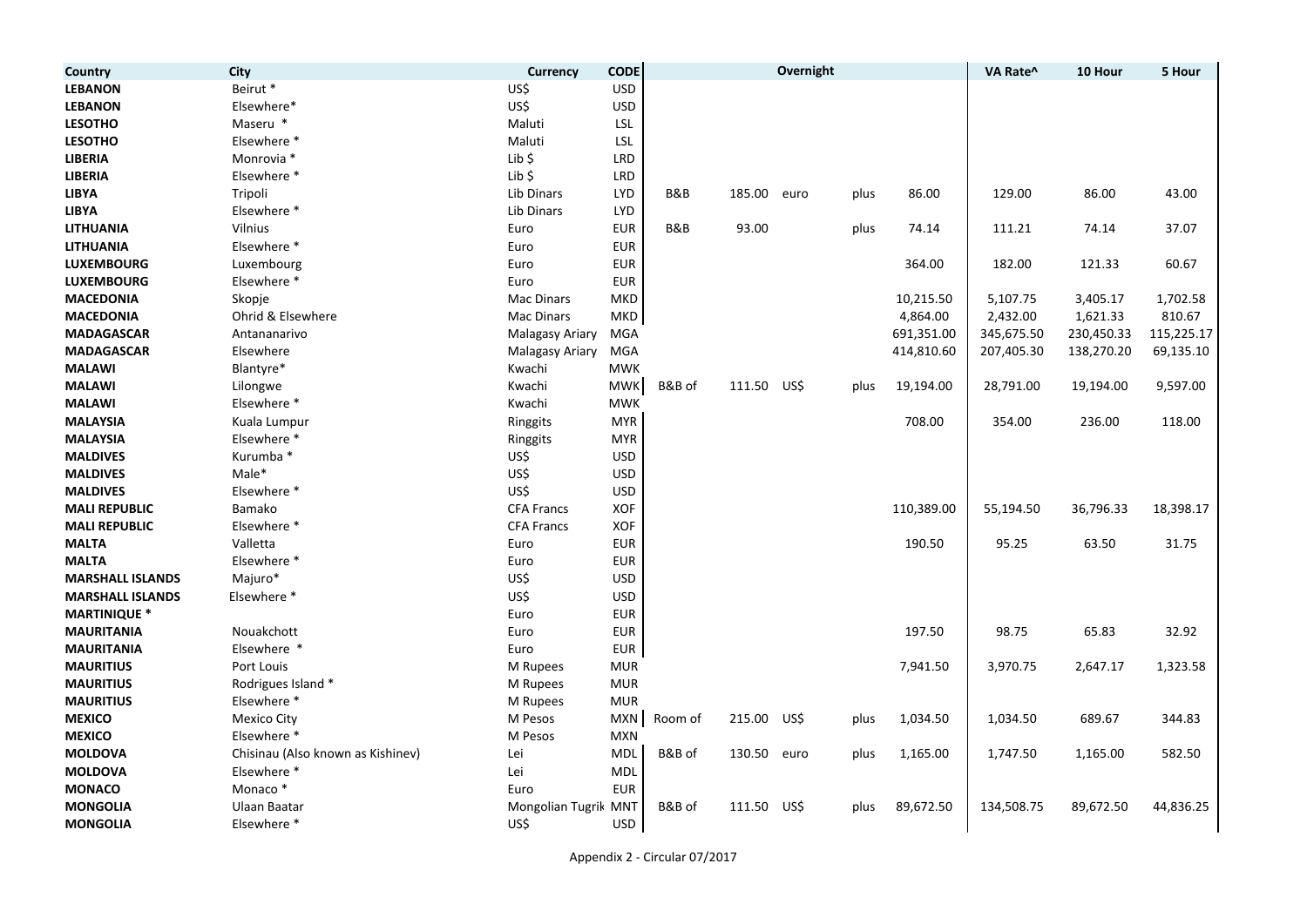| Country                 | <b>City</b>                       | Currency             | <b>CODE</b> |                |             | Overnight |      |            | VA Rate^   | 10 Hour    | 5 Hour     |
|-------------------------|-----------------------------------|----------------------|-------------|----------------|-------------|-----------|------|------------|------------|------------|------------|
| <b>LEBANON</b>          | Beirut *                          | US\$                 | <b>USD</b>  |                |             |           |      |            |            |            |            |
| <b>LEBANON</b>          | Elsewhere*                        | US\$                 | <b>USD</b>  |                |             |           |      |            |            |            |            |
| <b>LESOTHO</b>          | Maseru *                          | Maluti               | LSL         |                |             |           |      |            |            |            |            |
| <b>LESOTHO</b>          | Elsewhere *                       | Maluti               | LSL         |                |             |           |      |            |            |            |            |
| <b>LIBERIA</b>          | Monrovia *                        | Lib \$               | <b>LRD</b>  |                |             |           |      |            |            |            |            |
| <b>LIBERIA</b>          | Elsewhere *                       | $Lib$ \$             | <b>LRD</b>  |                |             |           |      |            |            |            |            |
| <b>LIBYA</b>            | Tripoli                           | Lib Dinars           | <b>LYD</b>  | B&B            | 185.00      | euro      | plus | 86.00      | 129.00     | 86.00      | 43.00      |
| <b>LIBYA</b>            | Elsewhere *                       | Lib Dinars           | <b>LYD</b>  |                |             |           |      |            |            |            |            |
| <b>LITHUANIA</b>        | Vilnius                           | Euro                 | <b>EUR</b>  | <b>B&amp;B</b> | 93.00       |           | plus | 74.14      | 111.21     | 74.14      | 37.07      |
| <b>LITHUANIA</b>        | Elsewhere *                       | Euro                 | <b>EUR</b>  |                |             |           |      |            |            |            |            |
| <b>LUXEMBOURG</b>       | Luxembourg                        | Euro                 | <b>EUR</b>  |                |             |           |      | 364.00     | 182.00     | 121.33     | 60.67      |
| <b>LUXEMBOURG</b>       | Elsewhere *                       | Euro                 | <b>EUR</b>  |                |             |           |      |            |            |            |            |
| <b>MACEDONIA</b>        | Skopje                            | <b>Mac Dinars</b>    | <b>MKD</b>  |                |             |           |      | 10,215.50  | 5,107.75   | 3,405.17   | 1,702.58   |
| <b>MACEDONIA</b>        | Ohrid & Elsewhere                 | <b>Mac Dinars</b>    | MKD         |                |             |           |      | 4,864.00   | 2,432.00   | 1,621.33   | 810.67     |
| <b>MADAGASCAR</b>       | Antananarivo                      | Malagasy Ariary      | <b>MGA</b>  |                |             |           |      | 691,351.00 | 345,675.50 | 230,450.33 | 115,225.17 |
| <b>MADAGASCAR</b>       | Elsewhere                         | Malagasy Ariary      | <b>MGA</b>  |                |             |           |      | 414,810.60 | 207,405.30 | 138,270.20 | 69,135.10  |
| <b>MALAWI</b>           | Blantyre*                         | Kwachi               | <b>MWK</b>  |                |             |           |      |            |            |            |            |
| <b>MALAWI</b>           | Lilongwe                          | Kwachi               | <b>MWK</b>  | B&B of         | 111.50 US\$ |           | plus | 19,194.00  | 28,791.00  | 19,194.00  | 9,597.00   |
| <b>MALAWI</b>           | Elsewhere *                       | Kwachi               | <b>MWK</b>  |                |             |           |      |            |            |            |            |
| <b>MALAYSIA</b>         | Kuala Lumpur                      | Ringgits             | <b>MYR</b>  |                |             |           |      | 708.00     | 354.00     | 236.00     | 118.00     |
| <b>MALAYSIA</b>         | Elsewhere *                       | Ringgits             | <b>MYR</b>  |                |             |           |      |            |            |            |            |
| <b>MALDIVES</b>         | Kurumba *                         | US\$                 | <b>USD</b>  |                |             |           |      |            |            |            |            |
| <b>MALDIVES</b>         | Male*                             | US\$                 | <b>USD</b>  |                |             |           |      |            |            |            |            |
| <b>MALDIVES</b>         | Elsewhere *                       | US\$                 | <b>USD</b>  |                |             |           |      |            |            |            |            |
| <b>MALI REPUBLIC</b>    | Bamako                            | <b>CFA Francs</b>    | <b>XOF</b>  |                |             |           |      | 110,389.00 | 55,194.50  | 36,796.33  | 18,398.17  |
| <b>MALI REPUBLIC</b>    | Elsewhere *                       | <b>CFA Francs</b>    | <b>XOF</b>  |                |             |           |      |            |            |            |            |
| <b>MALTA</b>            | Valletta                          | Euro                 | <b>EUR</b>  |                |             |           |      | 190.50     | 95.25      | 63.50      | 31.75      |
| <b>MALTA</b>            | Elsewhere *                       | Euro                 | <b>EUR</b>  |                |             |           |      |            |            |            |            |
| <b>MARSHALL ISLANDS</b> | Majuro*                           | US\$                 | <b>USD</b>  |                |             |           |      |            |            |            |            |
| <b>MARSHALL ISLANDS</b> | Elsewhere *                       | US\$                 | <b>USD</b>  |                |             |           |      |            |            |            |            |
| <b>MARTINIQUE *</b>     |                                   | Euro                 | <b>EUR</b>  |                |             |           |      |            |            |            |            |
| <b>MAURITANIA</b>       | Nouakchott                        | Euro                 | <b>EUR</b>  |                |             |           |      | 197.50     | 98.75      | 65.83      | 32.92      |
| <b>MAURITANIA</b>       | Elsewhere *                       | Euro                 | <b>EUR</b>  |                |             |           |      |            |            |            |            |
| <b>MAURITIUS</b>        | Port Louis                        | M Rupees             | <b>MUR</b>  |                |             |           |      | 7,941.50   | 3,970.75   | 2,647.17   | 1,323.58   |
| <b>MAURITIUS</b>        | Rodrigues Island *                | M Rupees             | <b>MUR</b>  |                |             |           |      |            |            |            |            |
| <b>MAURITIUS</b>        | Elsewhere *                       | M Rupees             | <b>MUR</b>  |                |             |           |      |            |            |            |            |
| <b>MEXICO</b>           | <b>Mexico City</b>                | M Pesos              | <b>MXN</b>  | Room of        | 215.00 US\$ |           | plus | 1,034.50   | 1,034.50   | 689.67     | 344.83     |
| <b>MEXICO</b>           | Elsewhere *                       | M Pesos              | <b>MXN</b>  |                |             |           |      |            |            |            |            |
| <b>MOLDOVA</b>          | Chisinau (Also known as Kishinev) | Lei                  | <b>MDL</b>  | B&B of         | 130.50      | euro      | plus | 1,165.00   | 1,747.50   | 1,165.00   | 582.50     |
| <b>MOLDOVA</b>          | Elsewhere *                       | Lei                  | <b>MDL</b>  |                |             |           |      |            |            |            |            |
| <b>MONACO</b>           | Monaco*                           | Euro                 | <b>EUR</b>  |                |             |           |      |            |            |            |            |
| <b>MONGOLIA</b>         | Ulaan Baatar                      | Mongolian Tugrik MNT |             | B&B of         | 111.50      | US\$      | plus | 89,672.50  | 134,508.75 | 89,672.50  | 44,836.25  |
| <b>MONGOLIA</b>         | Elsewhere *                       | US\$                 | <b>USD</b>  |                |             |           |      |            |            |            |            |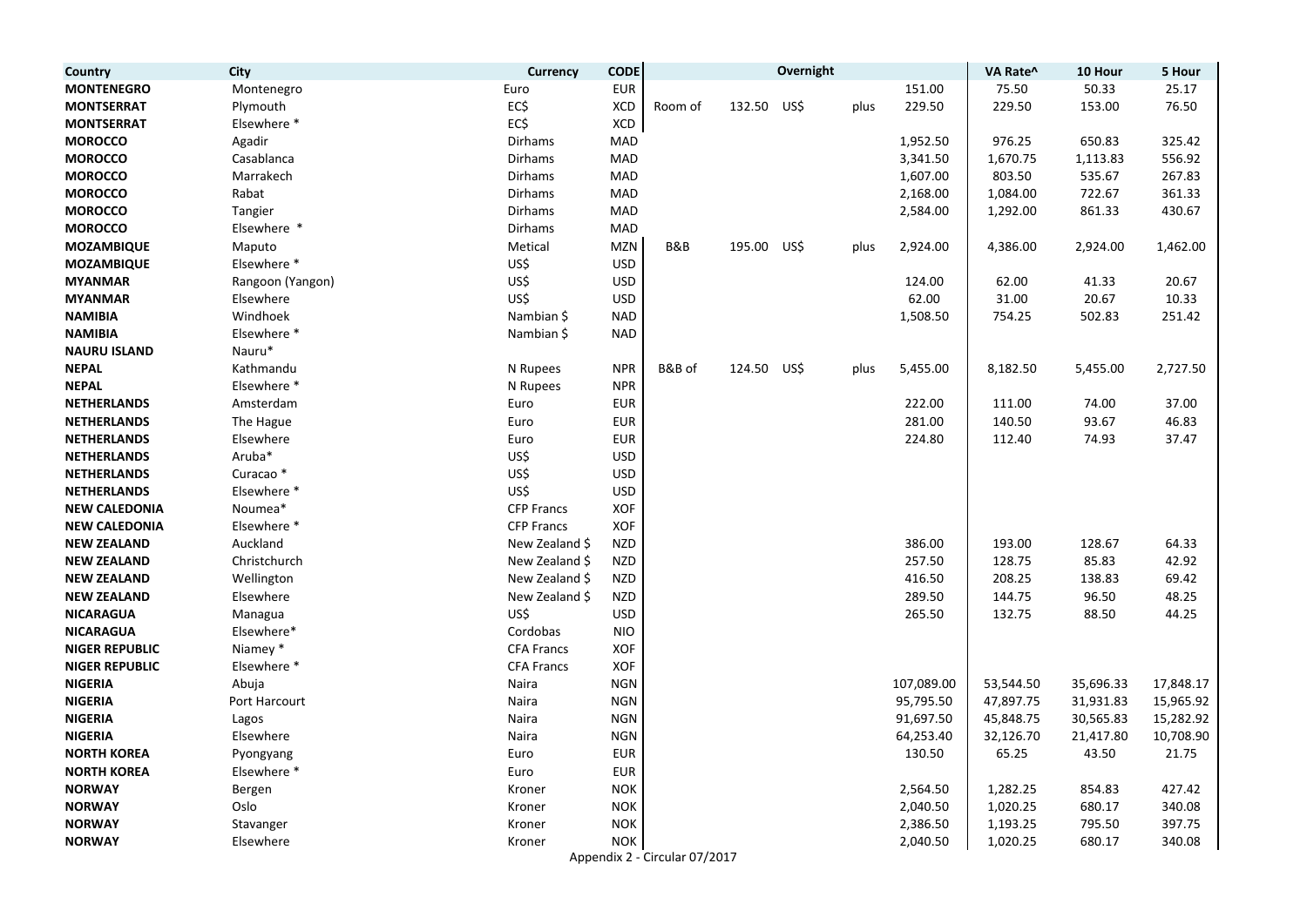| Country               | City                 | Currency          | <b>CODE</b> |                               |             | Overnight |      |            | VA Rate^  | 10 Hour   | 5 Hour    |
|-----------------------|----------------------|-------------------|-------------|-------------------------------|-------------|-----------|------|------------|-----------|-----------|-----------|
| <b>MONTENEGRO</b>     | Montenegro           | Euro              | <b>EUR</b>  |                               |             |           |      | 151.00     | 75.50     | 50.33     | 25.17     |
| <b>MONTSERRAT</b>     | Plymouth             | EC\$              | <b>XCD</b>  | Room of                       | 132.50 US\$ |           | plus | 229.50     | 229.50    | 153.00    | 76.50     |
| <b>MONTSERRAT</b>     | Elsewhere *          | EC\$              | XCD         |                               |             |           |      |            |           |           |           |
| <b>MOROCCO</b>        | Agadir               | <b>Dirhams</b>    | MAD         |                               |             |           |      | 1,952.50   | 976.25    | 650.83    | 325.42    |
| <b>MOROCCO</b>        | Casablanca           | <b>Dirhams</b>    | MAD         |                               |             |           |      | 3,341.50   | 1,670.75  | 1,113.83  | 556.92    |
| <b>MOROCCO</b>        | Marrakech            | Dirhams           | MAD         |                               |             |           |      | 1,607.00   | 803.50    | 535.67    | 267.83    |
| <b>MOROCCO</b>        | Rabat                | Dirhams           | MAD         |                               |             |           |      | 2,168.00   | 1,084.00  | 722.67    | 361.33    |
| <b>MOROCCO</b>        | Tangier              | Dirhams           | MAD         |                               |             |           |      | 2,584.00   | 1,292.00  | 861.33    | 430.67    |
| <b>MOROCCO</b>        | Elsewhere *          | Dirhams           | <b>MAD</b>  |                               |             |           |      |            |           |           |           |
| <b>MOZAMBIQUE</b>     | Maputo               | Metical           | <b>MZN</b>  | B&B                           | 195.00 US\$ |           | plus | 2,924.00   | 4,386.00  | 2,924.00  | 1,462.00  |
| <b>MOZAMBIQUE</b>     | Elsewhere *          | US\$              | <b>USD</b>  |                               |             |           |      |            |           |           |           |
| <b>MYANMAR</b>        | Rangoon (Yangon)     | US\$              | <b>USD</b>  |                               |             |           |      | 124.00     | 62.00     | 41.33     | 20.67     |
| <b>MYANMAR</b>        | Elsewhere            | US\$              | <b>USD</b>  |                               |             |           |      | 62.00      | 31.00     | 20.67     | 10.33     |
| <b>NAMIBIA</b>        | Windhoek             | Nambian \$        | <b>NAD</b>  |                               |             |           |      | 1,508.50   | 754.25    | 502.83    | 251.42    |
| <b>NAMIBIA</b>        | Elsewhere *          | Nambian \$        | <b>NAD</b>  |                               |             |           |      |            |           |           |           |
| <b>NAURU ISLAND</b>   | Nauru*               |                   |             |                               |             |           |      |            |           |           |           |
| <b>NEPAL</b>          | Kathmandu            | N Rupees          | <b>NPR</b>  | B&B of                        | 124.50 US\$ |           | plus | 5,455.00   | 8,182.50  | 5,455.00  | 2,727.50  |
| <b>NEPAL</b>          | Elsewhere *          | N Rupees          | <b>NPR</b>  |                               |             |           |      |            |           |           |           |
| <b>NETHERLANDS</b>    | Amsterdam            | Euro              | <b>EUR</b>  |                               |             |           |      | 222.00     | 111.00    | 74.00     | 37.00     |
| <b>NETHERLANDS</b>    | The Hague            | Euro              | <b>EUR</b>  |                               |             |           |      | 281.00     | 140.50    | 93.67     | 46.83     |
| <b>NETHERLANDS</b>    | Elsewhere            | Euro              | <b>EUR</b>  |                               |             |           |      | 224.80     | 112.40    | 74.93     | 37.47     |
| <b>NETHERLANDS</b>    | Aruba*               | US\$              | <b>USD</b>  |                               |             |           |      |            |           |           |           |
| <b>NETHERLANDS</b>    | Curacao <sup>*</sup> | US\$              | <b>USD</b>  |                               |             |           |      |            |           |           |           |
| <b>NETHERLANDS</b>    | Elsewhere *          | US\$              | <b>USD</b>  |                               |             |           |      |            |           |           |           |
| <b>NEW CALEDONIA</b>  | Noumea*              | <b>CFP Francs</b> | XOF         |                               |             |           |      |            |           |           |           |
| <b>NEW CALEDONIA</b>  | Elsewhere *          | <b>CFP Francs</b> | XOF         |                               |             |           |      |            |           |           |           |
| <b>NEW ZEALAND</b>    | Auckland             | New Zealand \$    | <b>NZD</b>  |                               |             |           |      | 386.00     | 193.00    | 128.67    | 64.33     |
| <b>NEW ZEALAND</b>    | Christchurch         | New Zealand \$    | <b>NZD</b>  |                               |             |           |      | 257.50     | 128.75    | 85.83     | 42.92     |
| <b>NEW ZEALAND</b>    | Wellington           | New Zealand \$    | <b>NZD</b>  |                               |             |           |      | 416.50     | 208.25    | 138.83    | 69.42     |
| <b>NEW ZEALAND</b>    | Elsewhere            | New Zealand \$    | <b>NZD</b>  |                               |             |           |      | 289.50     | 144.75    | 96.50     | 48.25     |
| <b>NICARAGUA</b>      | Managua              | US\$              | <b>USD</b>  |                               |             |           |      | 265.50     | 132.75    | 88.50     | 44.25     |
| <b>NICARAGUA</b>      | Elsewhere*           | Cordobas          | <b>NIO</b>  |                               |             |           |      |            |           |           |           |
| <b>NIGER REPUBLIC</b> | Niamey *             | <b>CFA Francs</b> | XOF         |                               |             |           |      |            |           |           |           |
| <b>NIGER REPUBLIC</b> | Elsewhere *          | <b>CFA Francs</b> | XOF         |                               |             |           |      |            |           |           |           |
| <b>NIGERIA</b>        | Abuja                | Naira             | <b>NGN</b>  |                               |             |           |      | 107,089.00 | 53,544.50 | 35,696.33 | 17,848.17 |
| <b>NIGERIA</b>        | Port Harcourt        | Naira             | <b>NGN</b>  |                               |             |           |      | 95,795.50  | 47,897.75 | 31,931.83 | 15,965.92 |
| <b>NIGERIA</b>        | Lagos                | Naira             | <b>NGN</b>  |                               |             |           |      | 91,697.50  | 45,848.75 | 30,565.83 | 15,282.92 |
| <b>NIGERIA</b>        | Elsewhere            | Naira             | <b>NGN</b>  |                               |             |           |      | 64,253.40  | 32,126.70 | 21,417.80 | 10,708.90 |
| <b>NORTH KOREA</b>    | Pyongyang            | Euro              | <b>EUR</b>  |                               |             |           |      | 130.50     | 65.25     | 43.50     | 21.75     |
| <b>NORTH KOREA</b>    | Elsewhere *          | Euro              | <b>EUR</b>  |                               |             |           |      |            |           |           |           |
| <b>NORWAY</b>         | Bergen               | Kroner            | <b>NOK</b>  |                               |             |           |      | 2,564.50   | 1,282.25  | 854.83    | 427.42    |
| <b>NORWAY</b>         | Oslo                 | Kroner            | <b>NOK</b>  |                               |             |           |      | 2,040.50   | 1,020.25  | 680.17    | 340.08    |
| <b>NORWAY</b>         | Stavanger            | Kroner            | <b>NOK</b>  |                               |             |           |      | 2,386.50   | 1,193.25  | 795.50    | 397.75    |
| <b>NORWAY</b>         | Elsewhere            | Kroner            | <b>NOK</b>  |                               |             |           |      | 2,040.50   | 1,020.25  | 680.17    | 340.08    |
|                       |                      |                   |             | Appendix 2 - Circular 07/2017 |             |           |      |            |           |           |           |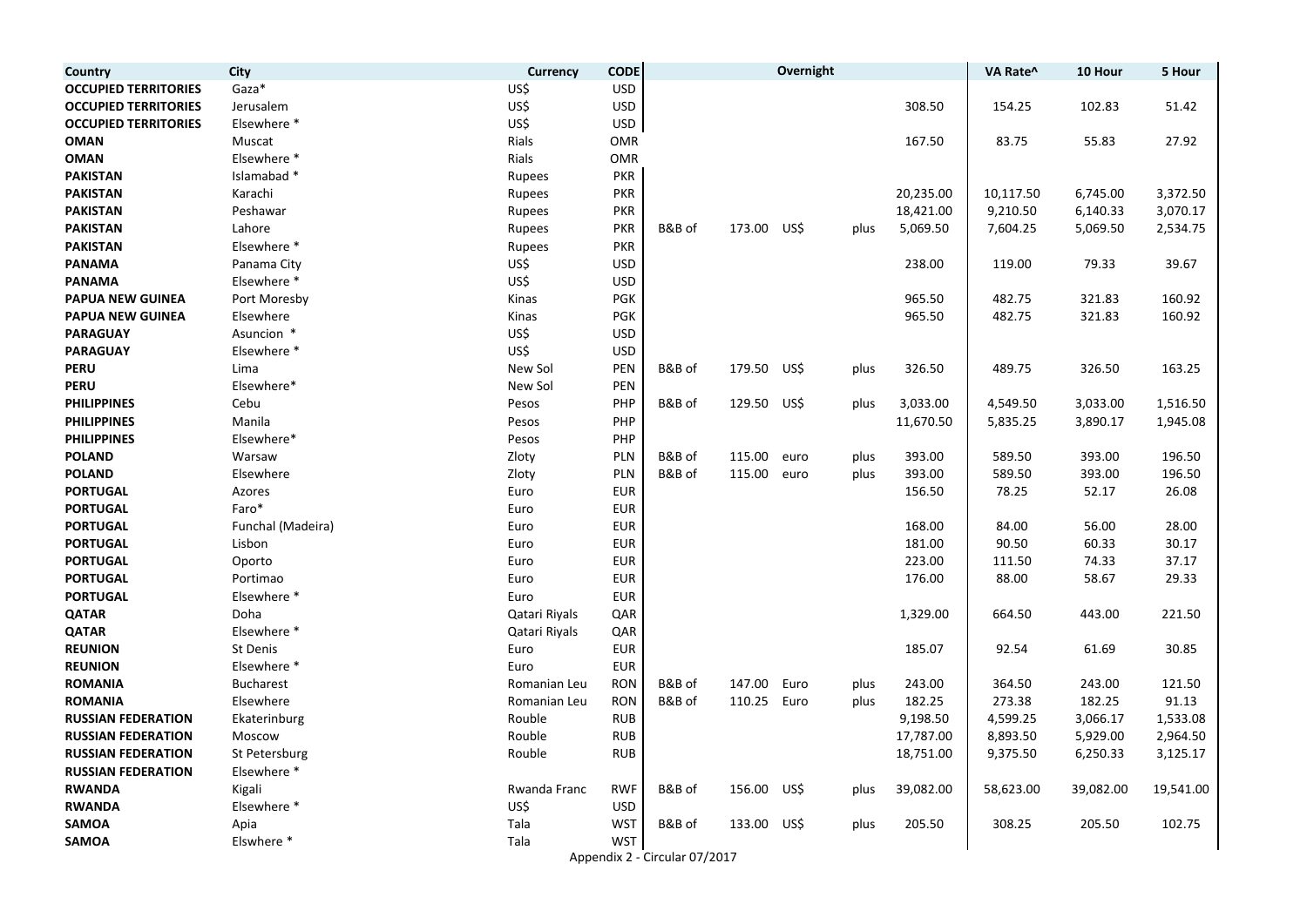| Country                     | <b>City</b>       | <b>Currency</b> | <b>CODE</b> |                               |        | Overnight |      |           | VA Rate^  | 10 Hour   | 5 Hour    |
|-----------------------------|-------------------|-----------------|-------------|-------------------------------|--------|-----------|------|-----------|-----------|-----------|-----------|
| <b>OCCUPIED TERRITORIES</b> | Gaza*             | US\$            | <b>USD</b>  |                               |        |           |      |           |           |           |           |
| <b>OCCUPIED TERRITORIES</b> | Jerusalem         | US\$            | <b>USD</b>  |                               |        |           |      | 308.50    | 154.25    | 102.83    | 51.42     |
| <b>OCCUPIED TERRITORIES</b> | Elsewhere *       | US\$            | <b>USD</b>  |                               |        |           |      |           |           |           |           |
| <b>OMAN</b>                 | Muscat            | Rials           | <b>OMR</b>  |                               |        |           |      | 167.50    | 83.75     | 55.83     | 27.92     |
| <b>OMAN</b>                 | Elsewhere *       | Rials           | <b>OMR</b>  |                               |        |           |      |           |           |           |           |
| <b>PAKISTAN</b>             | Islamabad *       | Rupees          | <b>PKR</b>  |                               |        |           |      |           |           |           |           |
| <b>PAKISTAN</b>             | Karachi           | Rupees          | <b>PKR</b>  |                               |        |           |      | 20,235.00 | 10,117.50 | 6,745.00  | 3,372.50  |
| <b>PAKISTAN</b>             | Peshawar          | Rupees          | <b>PKR</b>  |                               |        |           |      | 18,421.00 | 9,210.50  | 6,140.33  | 3,070.17  |
| <b>PAKISTAN</b>             | Lahore            | Rupees          | <b>PKR</b>  | B&B of                        | 173.00 | US\$      | plus | 5,069.50  | 7,604.25  | 5,069.50  | 2,534.75  |
| <b>PAKISTAN</b>             | Elsewhere *       | Rupees          | <b>PKR</b>  |                               |        |           |      |           |           |           |           |
| <b>PANAMA</b>               | Panama City       | US\$            | <b>USD</b>  |                               |        |           |      | 238.00    | 119.00    | 79.33     | 39.67     |
| <b>PANAMA</b>               | Elsewhere *       | US\$            | <b>USD</b>  |                               |        |           |      |           |           |           |           |
| <b>PAPUA NEW GUINEA</b>     | Port Moresby      | Kinas           | PGK         |                               |        |           |      | 965.50    | 482.75    | 321.83    | 160.92    |
| <b>PAPUA NEW GUINEA</b>     | Elsewhere         | Kinas           | <b>PGK</b>  |                               |        |           |      | 965.50    | 482.75    | 321.83    | 160.92    |
| <b>PARAGUAY</b>             | Asuncion *        | US\$            | <b>USD</b>  |                               |        |           |      |           |           |           |           |
| <b>PARAGUAY</b>             | Elsewhere *       | US\$            | <b>USD</b>  |                               |        |           |      |           |           |           |           |
| <b>PERU</b>                 | Lima              | New Sol         | PEN         | B&B of                        | 179.50 | US\$      | plus | 326.50    | 489.75    | 326.50    | 163.25    |
| <b>PERU</b>                 | Elsewhere*        | New Sol         | PEN         |                               |        |           |      |           |           |           |           |
| <b>PHILIPPINES</b>          | Cebu              | Pesos           | PHP         | B&B of                        | 129.50 | US\$      | plus | 3,033.00  | 4,549.50  | 3,033.00  | 1,516.50  |
| <b>PHILIPPINES</b>          | Manila            | Pesos           | PHP         |                               |        |           |      | 11,670.50 | 5,835.25  | 3,890.17  | 1,945.08  |
| <b>PHILIPPINES</b>          | Elsewhere*        | Pesos           | PHP         |                               |        |           |      |           |           |           |           |
| <b>POLAND</b>               | Warsaw            | Zloty           | <b>PLN</b>  | B&B of                        | 115.00 | euro      | plus | 393.00    | 589.50    | 393.00    | 196.50    |
| <b>POLAND</b>               | Elsewhere         | Zloty           | <b>PLN</b>  | B&B of                        | 115.00 | euro      | plus | 393.00    | 589.50    | 393.00    | 196.50    |
| <b>PORTUGAL</b>             | Azores            | Euro            | <b>EUR</b>  |                               |        |           |      | 156.50    | 78.25     | 52.17     | 26.08     |
| <b>PORTUGAL</b>             | Faro*             | Euro            | <b>EUR</b>  |                               |        |           |      |           |           |           |           |
| <b>PORTUGAL</b>             | Funchal (Madeira) | Euro            | <b>EUR</b>  |                               |        |           |      | 168.00    | 84.00     | 56.00     | 28.00     |
| <b>PORTUGAL</b>             | Lisbon            | Euro            | <b>EUR</b>  |                               |        |           |      | 181.00    | 90.50     | 60.33     | 30.17     |
| <b>PORTUGAL</b>             | Oporto            | Euro            | <b>EUR</b>  |                               |        |           |      | 223.00    | 111.50    | 74.33     | 37.17     |
| <b>PORTUGAL</b>             | Portimao          | Euro            | <b>EUR</b>  |                               |        |           |      | 176.00    | 88.00     | 58.67     | 29.33     |
| <b>PORTUGAL</b>             | Elsewhere *       | Euro            | <b>EUR</b>  |                               |        |           |      |           |           |           |           |
| <b>QATAR</b>                | Doha              | Qatari Riyals   | QAR         |                               |        |           |      | 1,329.00  | 664.50    | 443.00    | 221.50    |
| <b>QATAR</b>                | Elsewhere *       | Qatari Riyals   | QAR         |                               |        |           |      |           |           |           |           |
| <b>REUNION</b>              | St Denis          | Euro            | <b>EUR</b>  |                               |        |           |      | 185.07    | 92.54     | 61.69     | 30.85     |
| <b>REUNION</b>              | Elsewhere *       | Euro            | <b>EUR</b>  |                               |        |           |      |           |           |           |           |
| <b>ROMANIA</b>              | <b>Bucharest</b>  | Romanian Leu    | <b>RON</b>  | B&B of                        | 147.00 | Euro      | plus | 243.00    | 364.50    | 243.00    | 121.50    |
| <b>ROMANIA</b>              | Elsewhere         | Romanian Leu    | <b>RON</b>  | B&B of                        | 110.25 | Euro      | plus | 182.25    | 273.38    | 182.25    | 91.13     |
| <b>RUSSIAN FEDERATION</b>   | Ekaterinburg      | Rouble          | <b>RUB</b>  |                               |        |           |      | 9,198.50  | 4,599.25  | 3,066.17  | 1,533.08  |
| <b>RUSSIAN FEDERATION</b>   | Moscow            | Rouble          | <b>RUB</b>  |                               |        |           |      | 17,787.00 | 8,893.50  | 5,929.00  | 2,964.50  |
| <b>RUSSIAN FEDERATION</b>   | St Petersburg     | Rouble          | <b>RUB</b>  |                               |        |           |      | 18,751.00 | 9,375.50  | 6,250.33  | 3,125.17  |
| <b>RUSSIAN FEDERATION</b>   | Elsewhere *       |                 |             |                               |        |           |      |           |           |           |           |
| <b>RWANDA</b>               | Kigali            | Rwanda Franc    | <b>RWF</b>  | B&B of                        | 156.00 | US\$      | plus | 39,082.00 | 58,623.00 | 39,082.00 | 19,541.00 |
| <b>RWANDA</b>               | Elsewhere *       | US\$            | <b>USD</b>  |                               |        |           |      |           |           |           |           |
| <b>SAMOA</b>                | Apia              | Tala            | <b>WST</b>  | B&B of                        | 133.00 | US\$      | plus | 205.50    | 308.25    | 205.50    | 102.75    |
| <b>SAMOA</b>                | Elswhere *        | Tala            | <b>WST</b>  |                               |        |           |      |           |           |           |           |
|                             |                   |                 |             | Appendix 2 - Circular 07/2017 |        |           |      |           |           |           |           |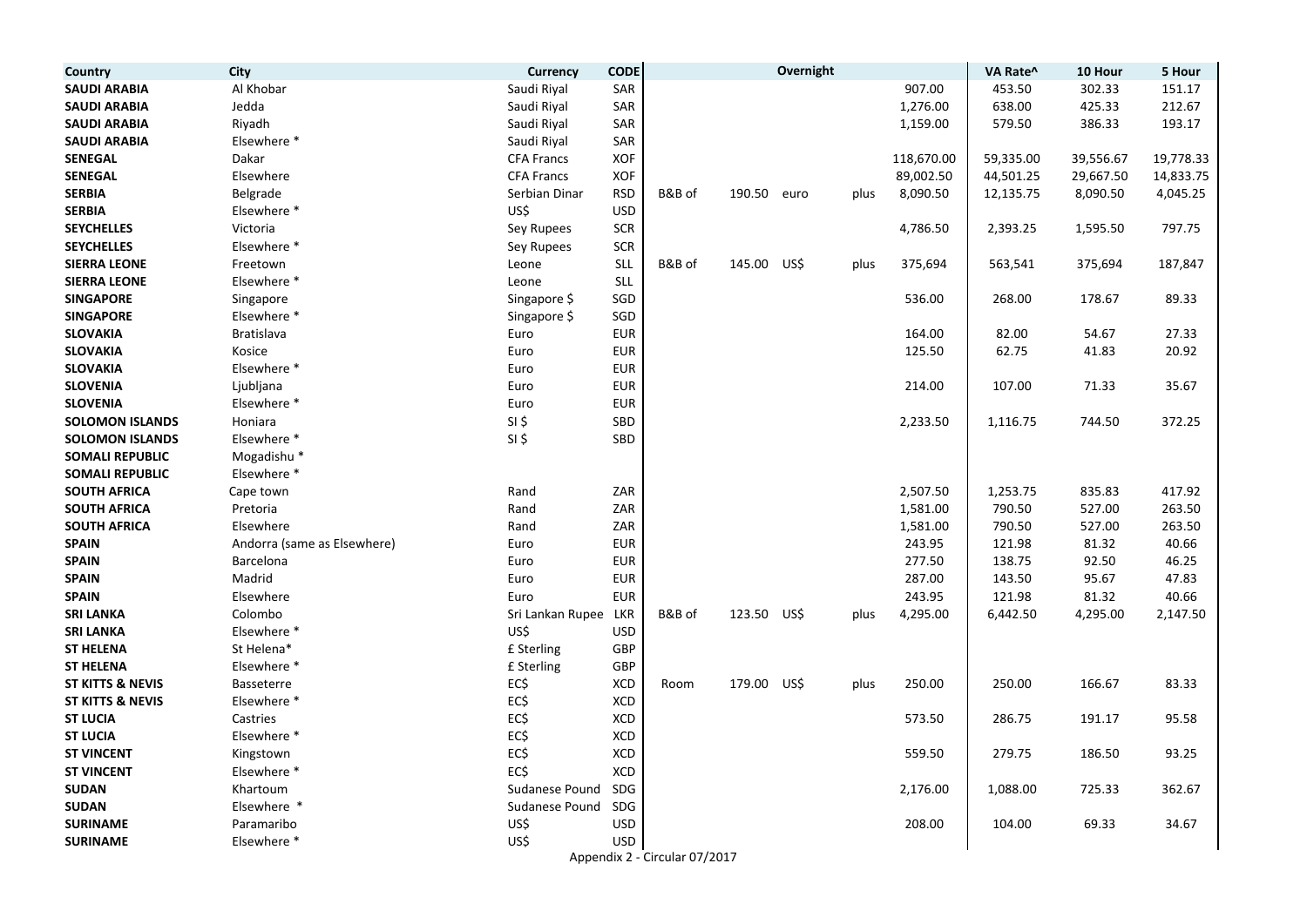| Country                     | <b>City</b>                 | <b>Currency</b>   | <b>CODE</b> |                               |             | Overnight |      |            | VA Rate^  | 10 Hour   | 5 Hour    |
|-----------------------------|-----------------------------|-------------------|-------------|-------------------------------|-------------|-----------|------|------------|-----------|-----------|-----------|
| <b>SAUDI ARABIA</b>         | Al Khobar                   | Saudi Riyal       | SAR         |                               |             |           |      | 907.00     | 453.50    | 302.33    | 151.17    |
| <b>SAUDI ARABIA</b>         | Jedda                       | Saudi Riyal       | SAR         |                               |             |           |      | 1,276.00   | 638.00    | 425.33    | 212.67    |
| <b>SAUDI ARABIA</b>         | Riyadh                      | Saudi Riyal       | SAR         |                               |             |           |      | 1,159.00   | 579.50    | 386.33    | 193.17    |
| <b>SAUDI ARABIA</b>         | Elsewhere *                 | Saudi Riyal       | SAR         |                               |             |           |      |            |           |           |           |
| <b>SENEGAL</b>              | Dakar                       | <b>CFA Francs</b> | XOF         |                               |             |           |      | 118,670.00 | 59,335.00 | 39,556.67 | 19,778.33 |
| <b>SENEGAL</b>              | Elsewhere                   | <b>CFA Francs</b> | XOF         |                               |             |           |      | 89,002.50  | 44,501.25 | 29,667.50 | 14,833.75 |
| <b>SERBIA</b>               | Belgrade                    | Serbian Dinar     | <b>RSD</b>  | B&B of                        | 190.50 euro |           | plus | 8,090.50   | 12,135.75 | 8,090.50  | 4,045.25  |
| <b>SERBIA</b>               | Elsewhere *                 | US\$              | <b>USD</b>  |                               |             |           |      |            |           |           |           |
| <b>SEYCHELLES</b>           | Victoria                    | Sey Rupees        | <b>SCR</b>  |                               |             |           |      | 4,786.50   | 2,393.25  | 1,595.50  | 797.75    |
| <b>SEYCHELLES</b>           | Elsewhere *                 | Sey Rupees        | <b>SCR</b>  |                               |             |           |      |            |           |           |           |
| <b>SIERRA LEONE</b>         | Freetown                    | Leone             | <b>SLL</b>  | B&B of                        | 145.00      | US\$      | plus | 375,694    | 563,541   | 375,694   | 187,847   |
| <b>SIERRA LEONE</b>         | Elsewhere *                 | Leone             | <b>SLL</b>  |                               |             |           |      |            |           |           |           |
| <b>SINGAPORE</b>            | Singapore                   | Singapore \$      | SGD         |                               |             |           |      | 536.00     | 268.00    | 178.67    | 89.33     |
| <b>SINGAPORE</b>            | Elsewhere *                 | Singapore \$      | SGD         |                               |             |           |      |            |           |           |           |
| <b>SLOVAKIA</b>             | Bratislava                  | Euro              | <b>EUR</b>  |                               |             |           |      | 164.00     | 82.00     | 54.67     | 27.33     |
| <b>SLOVAKIA</b>             | Kosice                      | Euro              | <b>EUR</b>  |                               |             |           |      | 125.50     | 62.75     | 41.83     | 20.92     |
| <b>SLOVAKIA</b>             | Elsewhere *                 | Euro              | <b>EUR</b>  |                               |             |           |      |            |           |           |           |
| <b>SLOVENIA</b>             | Ljubljana                   | Euro              | <b>EUR</b>  |                               |             |           |      | 214.00     | 107.00    | 71.33     | 35.67     |
| <b>SLOVENIA</b>             | Elsewhere *                 | Euro              | <b>EUR</b>  |                               |             |           |      |            |           |           |           |
| <b>SOLOMON ISLANDS</b>      | Honiara                     | $SI$ \$           | SBD         |                               |             |           |      | 2,233.50   | 1,116.75  | 744.50    | 372.25    |
| <b>SOLOMON ISLANDS</b>      | Elsewhere *                 | $SI$ \$           | SBD         |                               |             |           |      |            |           |           |           |
| <b>SOMALI REPUBLIC</b>      | Mogadishu <sup>*</sup>      |                   |             |                               |             |           |      |            |           |           |           |
| <b>SOMALI REPUBLIC</b>      | Elsewhere *                 |                   |             |                               |             |           |      |            |           |           |           |
| <b>SOUTH AFRICA</b>         | Cape town                   | Rand              | ZAR         |                               |             |           |      | 2,507.50   | 1,253.75  | 835.83    | 417.92    |
| <b>SOUTH AFRICA</b>         | Pretoria                    | Rand              | ZAR         |                               |             |           |      | 1,581.00   | 790.50    | 527.00    | 263.50    |
| <b>SOUTH AFRICA</b>         | Elsewhere                   | Rand              | ZAR         |                               |             |           |      | 1,581.00   | 790.50    | 527.00    | 263.50    |
| <b>SPAIN</b>                | Andorra (same as Elsewhere) | Euro              | <b>EUR</b>  |                               |             |           |      | 243.95     | 121.98    | 81.32     | 40.66     |
| <b>SPAIN</b>                | Barcelona                   | Euro              | <b>EUR</b>  |                               |             |           |      | 277.50     | 138.75    | 92.50     | 46.25     |
| <b>SPAIN</b>                | Madrid                      | Euro              | <b>EUR</b>  |                               |             |           |      | 287.00     | 143.50    | 95.67     | 47.83     |
| <b>SPAIN</b>                | Elsewhere                   | Euro              | <b>EUR</b>  |                               |             |           |      | 243.95     | 121.98    | 81.32     | 40.66     |
| <b>SRI LANKA</b>            | Colombo                     | Sri Lankan Rupee  | LKR         | B&B of                        | 123.50 US\$ |           | plus | 4,295.00   | 6,442.50  | 4,295.00  | 2,147.50  |
| <b>SRI LANKA</b>            | Elsewhere *                 | US\$              | <b>USD</b>  |                               |             |           |      |            |           |           |           |
| <b>ST HELENA</b>            | St Helena*                  | £ Sterling        | GBP         |                               |             |           |      |            |           |           |           |
| <b>ST HELENA</b>            | Elsewhere *                 | £ Sterling        | GBP         |                               |             |           |      |            |           |           |           |
| <b>ST KITTS &amp; NEVIS</b> | Basseterre                  | EC\$              | <b>XCD</b>  | Room                          | 179.00      | US\$      | plus | 250.00     | 250.00    | 166.67    | 83.33     |
| <b>ST KITTS &amp; NEVIS</b> | Elsewhere *                 | EC\$              | <b>XCD</b>  |                               |             |           |      |            |           |           |           |
| <b>ST LUCIA</b>             | Castries                    | EC\$              | <b>XCD</b>  |                               |             |           |      | 573.50     | 286.75    | 191.17    | 95.58     |
| <b>ST LUCIA</b>             | Elsewhere *                 | EC\$              | XCD         |                               |             |           |      |            |           |           |           |
| <b>ST VINCENT</b>           | Kingstown                   | EC\$              | XCD         |                               |             |           |      | 559.50     | 279.75    | 186.50    | 93.25     |
| <b>ST VINCENT</b>           | Elsewhere *                 | EC\$              | XCD         |                               |             |           |      |            |           |           |           |
| <b>SUDAN</b>                | Khartoum                    | Sudanese Pound    | SDG         |                               |             |           |      | 2,176.00   | 1,088.00  | 725.33    | 362.67    |
| <b>SUDAN</b>                | Elsewhere *                 | Sudanese Pound    | SDG         |                               |             |           |      |            |           |           |           |
| <b>SURINAME</b>             | Paramaribo                  | US\$              | <b>USD</b>  |                               |             |           |      | 208.00     | 104.00    | 69.33     | 34.67     |
| <b>SURINAME</b>             | Elsewhere *                 | US\$              | <b>USD</b>  |                               |             |           |      |            |           |           |           |
|                             |                             |                   |             | Appendix 2 - Circular 07/2017 |             |           |      |            |           |           |           |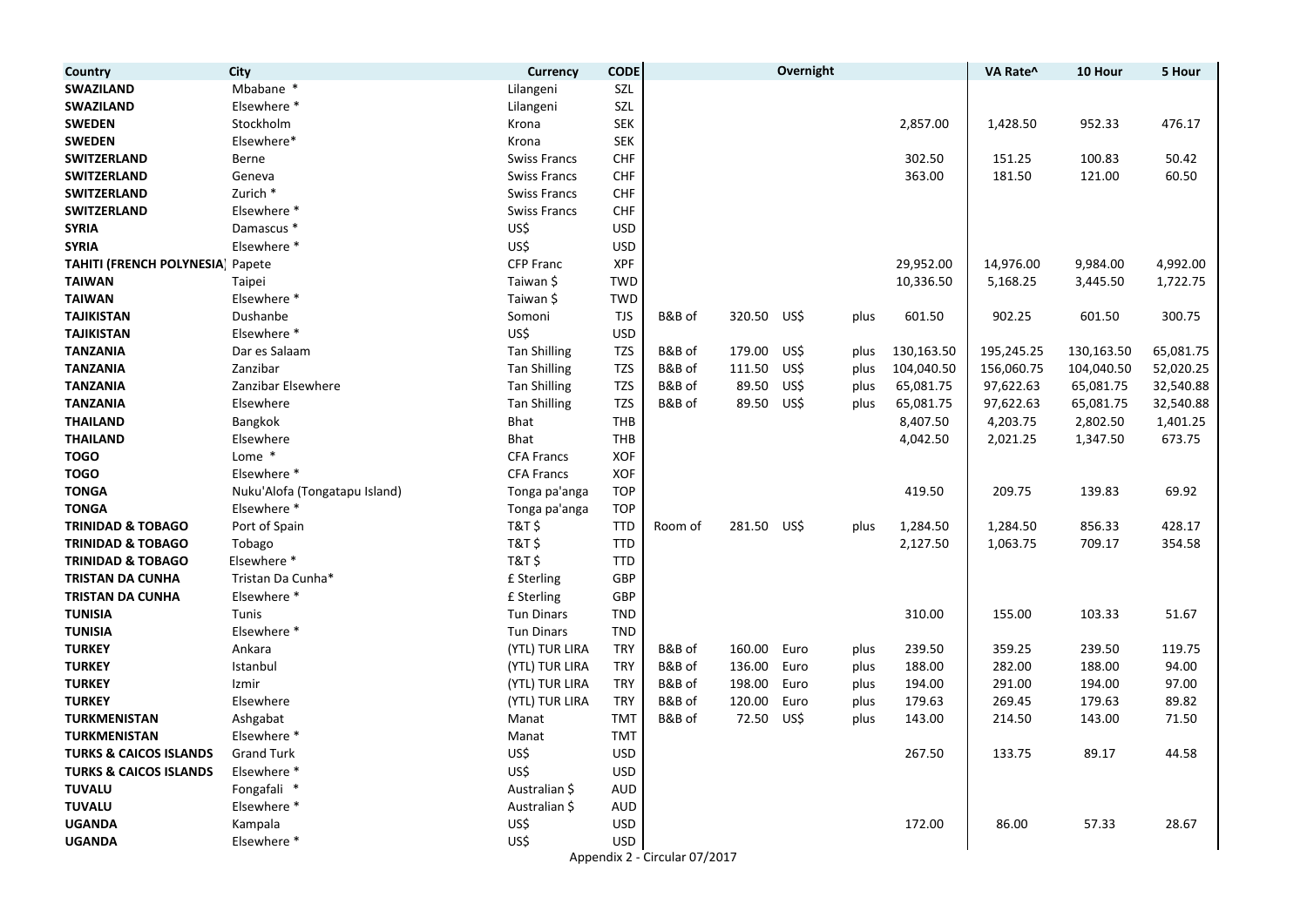| Country                           | City                          | <b>Currency</b>     | <b>CODE</b> |                               |             | Overnight |      |            | VA Rate^   | 10 Hour    | 5 Hour    |
|-----------------------------------|-------------------------------|---------------------|-------------|-------------------------------|-------------|-----------|------|------------|------------|------------|-----------|
| <b>SWAZILAND</b>                  | Mbabane *                     | Lilangeni           | SZL         |                               |             |           |      |            |            |            |           |
| <b>SWAZILAND</b>                  | Elsewhere *                   | Lilangeni           | SZL         |                               |             |           |      |            |            |            |           |
| <b>SWEDEN</b>                     | Stockholm                     | Krona               | <b>SEK</b>  |                               |             |           |      | 2,857.00   | 1,428.50   | 952.33     | 476.17    |
| <b>SWEDEN</b>                     | Elsewhere*                    | Krona               | <b>SEK</b>  |                               |             |           |      |            |            |            |           |
| <b>SWITZERLAND</b>                | Berne                         | <b>Swiss Francs</b> | <b>CHF</b>  |                               |             |           |      | 302.50     | 151.25     | 100.83     | 50.42     |
| <b>SWITZERLAND</b>                | Geneva                        | Swiss Francs        | <b>CHF</b>  |                               |             |           |      | 363.00     | 181.50     | 121.00     | 60.50     |
| <b>SWITZERLAND</b>                | Zurich *                      | Swiss Francs        | <b>CHF</b>  |                               |             |           |      |            |            |            |           |
| <b>SWITZERLAND</b>                | Elsewhere *                   | <b>Swiss Francs</b> | <b>CHF</b>  |                               |             |           |      |            |            |            |           |
| <b>SYRIA</b>                      | Damascus *                    | US\$                | <b>USD</b>  |                               |             |           |      |            |            |            |           |
| <b>SYRIA</b>                      | Elsewhere *                   | US\$                | <b>USD</b>  |                               |             |           |      |            |            |            |           |
| TAHITI (FRENCH POLYNESIA) Papete  |                               | <b>CFP Franc</b>    | <b>XPF</b>  |                               |             |           |      | 29,952.00  | 14,976.00  | 9,984.00   | 4,992.00  |
| <b>TAIWAN</b>                     | Taipei                        | Taiwan \$           | <b>TWD</b>  |                               |             |           |      | 10,336.50  | 5,168.25   | 3,445.50   | 1,722.75  |
| <b>TAIWAN</b>                     | Elsewhere *                   | Taiwan \$           | TWD         |                               |             |           |      |            |            |            |           |
| <b>TAJIKISTAN</b>                 | Dushanbe                      | Somoni              | <b>TJS</b>  | B&B of                        | 320.50      | US\$      | plus | 601.50     | 902.25     | 601.50     | 300.75    |
| <b>TAJIKISTAN</b>                 | Elsewhere *                   | US\$                | <b>USD</b>  |                               |             |           |      |            |            |            |           |
| <b>TANZANIA</b>                   | Dar es Salaam                 | <b>Tan Shilling</b> | TZS         | B&B of                        | 179.00      | US\$      | plus | 130,163.50 | 195,245.25 | 130,163.50 | 65,081.75 |
| <b>TANZANIA</b>                   | Zanzibar                      | <b>Tan Shilling</b> | <b>TZS</b>  | B&B of                        | 111.50      | US\$      | plus | 104,040.50 | 156,060.75 | 104,040.50 | 52,020.25 |
| <b>TANZANIA</b>                   | Zanzibar Elsewhere            | <b>Tan Shilling</b> | <b>TZS</b>  | B&B of                        | 89.50       | US\$      | plus | 65,081.75  | 97,622.63  | 65,081.75  | 32,540.88 |
| <b>TANZANIA</b>                   | Elsewhere                     | <b>Tan Shilling</b> | TZS         | B&B of                        | 89.50       | US\$      | plus | 65,081.75  | 97,622.63  | 65,081.75  | 32,540.88 |
| <b>THAILAND</b>                   | <b>Bangkok</b>                | Bhat                | THB         |                               |             |           |      | 8,407.50   | 4,203.75   | 2,802.50   | 1,401.25  |
| <b>THAILAND</b>                   | Elsewhere                     | Bhat                | THB         |                               |             |           |      | 4,042.50   | 2,021.25   | 1,347.50   | 673.75    |
| <b>TOGO</b>                       | Lome *                        | <b>CFA Francs</b>   | <b>XOF</b>  |                               |             |           |      |            |            |            |           |
| <b>TOGO</b>                       | Elsewhere *                   | <b>CFA Francs</b>   | <b>XOF</b>  |                               |             |           |      |            |            |            |           |
| <b>TONGA</b>                      | Nuku'Alofa (Tongatapu Island) | Tonga pa'anga       | <b>TOP</b>  |                               |             |           |      | 419.50     | 209.75     | 139.83     | 69.92     |
| <b>TONGA</b>                      | Elsewhere *                   | Tonga pa'anga       | <b>TOP</b>  |                               |             |           |      |            |            |            |           |
| <b>TRINIDAD &amp; TOBAGO</b>      | Port of Spain                 | T&T \$              | TTD         | Room of                       | 281.50 US\$ |           | plus | 1,284.50   | 1,284.50   | 856.33     | 428.17    |
| <b>TRINIDAD &amp; TOBAGO</b>      | Tobago                        | <b>T&amp;T\$</b>    | <b>TTD</b>  |                               |             |           |      | 2,127.50   | 1,063.75   | 709.17     | 354.58    |
| <b>TRINIDAD &amp; TOBAGO</b>      | Elsewhere *                   | <b>T&amp;T\$</b>    | <b>TTD</b>  |                               |             |           |      |            |            |            |           |
| <b>TRISTAN DA CUNHA</b>           | Tristan Da Cunha*             | £ Sterling          | GBP         |                               |             |           |      |            |            |            |           |
| <b>TRISTAN DA CUNHA</b>           | Elsewhere *                   | £ Sterling          | GBP         |                               |             |           |      |            |            |            |           |
| <b>TUNISIA</b>                    | Tunis                         | <b>Tun Dinars</b>   | <b>TND</b>  |                               |             |           |      | 310.00     | 155.00     | 103.33     | 51.67     |
| <b>TUNISIA</b>                    | Elsewhere *                   | <b>Tun Dinars</b>   | <b>TND</b>  |                               |             |           |      |            |            |            |           |
| <b>TURKEY</b>                     | Ankara                        | (YTL) TUR LIRA      | <b>TRY</b>  | B&B of                        | 160.00      | Euro      | plus | 239.50     | 359.25     | 239.50     | 119.75    |
| <b>TURKEY</b>                     | Istanbul                      | (YTL) TUR LIRA      | <b>TRY</b>  | B&B of                        | 136.00      | Euro      | plus | 188.00     | 282.00     | 188.00     | 94.00     |
| <b>TURKEY</b>                     | Izmir                         | (YTL) TUR LIRA      | <b>TRY</b>  | B&B of                        | 198.00      | Euro      | plus | 194.00     | 291.00     | 194.00     | 97.00     |
| <b>TURKEY</b>                     | Elsewhere                     | (YTL) TUR LIRA      | <b>TRY</b>  | B&B of                        | 120.00      | Euro      | plus | 179.63     | 269.45     | 179.63     | 89.82     |
| <b>TURKMENISTAN</b>               | Ashgabat                      | Manat               | <b>TMT</b>  | B&B of                        | 72.50       | US\$      | plus | 143.00     | 214.50     | 143.00     | 71.50     |
| <b>TURKMENISTAN</b>               | Elsewhere *                   | Manat               | <b>TMT</b>  |                               |             |           |      |            |            |            |           |
| <b>TURKS &amp; CAICOS ISLANDS</b> | <b>Grand Turk</b>             | US\$                | <b>USD</b>  |                               |             |           |      | 267.50     | 133.75     | 89.17      | 44.58     |
| <b>TURKS &amp; CAICOS ISLANDS</b> | Elsewhere *                   | US\$                | <b>USD</b>  |                               |             |           |      |            |            |            |           |
| <b>TUVALU</b>                     | Fongafali *                   | Australian \$       | <b>AUD</b>  |                               |             |           |      |            |            |            |           |
| <b>TUVALU</b>                     | Elsewhere *                   | Australian \$       | <b>AUD</b>  |                               |             |           |      |            |            |            |           |
| <b>UGANDA</b>                     | Kampala                       | US\$                | <b>USD</b>  |                               |             |           |      | 172.00     | 86.00      | 57.33      | 28.67     |
| <b>UGANDA</b>                     | Elsewhere *                   | US\$                | <b>USD</b>  |                               |             |           |      |            |            |            |           |
|                                   |                               |                     |             | Appendix 2 - Circular 07/2017 |             |           |      |            |            |            |           |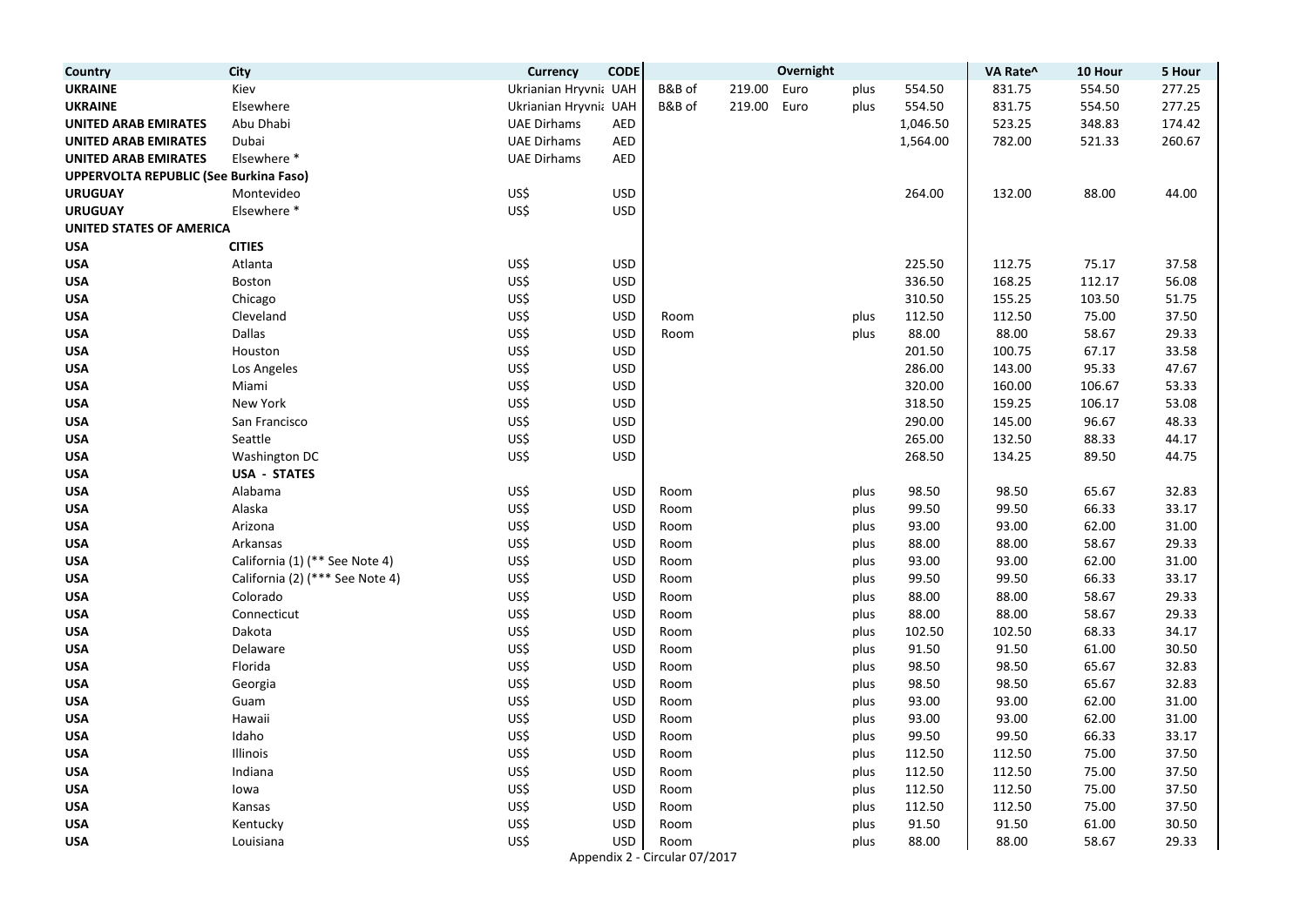| Country                                | <b>City</b>                     | Currency              | <b>CODE</b> |                               |        | Overnight |      |          | VA Rate^ | 10 Hour | 5 Hour |
|----------------------------------------|---------------------------------|-----------------------|-------------|-------------------------------|--------|-----------|------|----------|----------|---------|--------|
| <b>UKRAINE</b>                         | Kiev                            | Ukrianian Hryvni: UAH |             | B&B of                        | 219.00 | Euro      | plus | 554.50   | 831.75   | 554.50  | 277.25 |
| <b>UKRAINE</b>                         | Elsewhere                       | Ukrianian Hryvnia UAH |             | B&B of                        | 219.00 | Euro      | plus | 554.50   | 831.75   | 554.50  | 277.25 |
| <b>UNITED ARAB EMIRATES</b>            | Abu Dhabi                       | <b>UAE Dirhams</b>    | <b>AED</b>  |                               |        |           |      | 1,046.50 | 523.25   | 348.83  | 174.42 |
| <b>UNITED ARAB EMIRATES</b>            | Dubai                           | <b>UAE Dirhams</b>    | <b>AED</b>  |                               |        |           |      | 1,564.00 | 782.00   | 521.33  | 260.67 |
| <b>UNITED ARAB EMIRATES</b>            | Elsewhere *                     | <b>UAE Dirhams</b>    | <b>AED</b>  |                               |        |           |      |          |          |         |        |
| UPPERVOLTA REPUBLIC (See Burkina Faso) |                                 |                       |             |                               |        |           |      |          |          |         |        |
| <b>URUGUAY</b>                         | Montevideo                      | US\$                  | <b>USD</b>  |                               |        |           |      | 264.00   | 132.00   | 88.00   | 44.00  |
| <b>URUGUAY</b>                         | Elsewhere *                     | US\$                  | <b>USD</b>  |                               |        |           |      |          |          |         |        |
| <b>UNITED STATES OF AMERICA</b>        |                                 |                       |             |                               |        |           |      |          |          |         |        |
| <b>USA</b>                             | <b>CITIES</b>                   |                       |             |                               |        |           |      |          |          |         |        |
| <b>USA</b>                             | Atlanta                         | US\$                  | <b>USD</b>  |                               |        |           |      | 225.50   | 112.75   | 75.17   | 37.58  |
| <b>USA</b>                             | Boston                          | US\$                  | <b>USD</b>  |                               |        |           |      | 336.50   | 168.25   | 112.17  | 56.08  |
| <b>USA</b>                             | Chicago                         | US\$                  | <b>USD</b>  |                               |        |           |      | 310.50   | 155.25   | 103.50  | 51.75  |
| <b>USA</b>                             | Cleveland                       | US\$                  | <b>USD</b>  | Room                          |        |           | plus | 112.50   | 112.50   | 75.00   | 37.50  |
| <b>USA</b>                             | <b>Dallas</b>                   | US\$                  | <b>USD</b>  | Room                          |        |           | plus | 88.00    | 88.00    | 58.67   | 29.33  |
| <b>USA</b>                             | Houston                         | US\$                  | <b>USD</b>  |                               |        |           |      | 201.50   | 100.75   | 67.17   | 33.58  |
| <b>USA</b>                             | Los Angeles                     | US\$                  | <b>USD</b>  |                               |        |           |      | 286.00   | 143.00   | 95.33   | 47.67  |
| <b>USA</b>                             | Miami                           | US\$                  | <b>USD</b>  |                               |        |           |      | 320.00   | 160.00   | 106.67  | 53.33  |
| <b>USA</b>                             | New York                        | US\$                  | <b>USD</b>  |                               |        |           |      | 318.50   | 159.25   | 106.17  | 53.08  |
| <b>USA</b>                             | San Francisco                   | US\$                  | <b>USD</b>  |                               |        |           |      | 290.00   | 145.00   | 96.67   | 48.33  |
| <b>USA</b>                             | Seattle                         | US\$                  | <b>USD</b>  |                               |        |           |      | 265.00   | 132.50   | 88.33   | 44.17  |
| <b>USA</b>                             | Washington DC                   | US\$                  | <b>USD</b>  |                               |        |           |      | 268.50   | 134.25   | 89.50   | 44.75  |
| <b>USA</b>                             | <b>USA - STATES</b>             |                       |             |                               |        |           |      |          |          |         |        |
| <b>USA</b>                             | Alabama                         | US\$                  | <b>USD</b>  | Room                          |        |           | plus | 98.50    | 98.50    | 65.67   | 32.83  |
| <b>USA</b>                             | Alaska                          | US\$                  | <b>USD</b>  | Room                          |        |           | plus | 99.50    | 99.50    | 66.33   | 33.17  |
| <b>USA</b>                             | Arizona                         | US\$                  | <b>USD</b>  | Room                          |        |           | plus | 93.00    | 93.00    | 62.00   | 31.00  |
| <b>USA</b>                             | Arkansas                        | US\$                  | <b>USD</b>  | Room                          |        |           | plus | 88.00    | 88.00    | 58.67   | 29.33  |
| <b>USA</b>                             | California (1) (** See Note 4)  | US\$                  | <b>USD</b>  | Room                          |        |           | plus | 93.00    | 93.00    | 62.00   | 31.00  |
| <b>USA</b>                             | California (2) (*** See Note 4) | US\$                  | <b>USD</b>  | Room                          |        |           | plus | 99.50    | 99.50    | 66.33   | 33.17  |
| <b>USA</b>                             | Colorado                        | US\$                  | <b>USD</b>  | Room                          |        |           | plus | 88.00    | 88.00    | 58.67   | 29.33  |
| <b>USA</b>                             | Connecticut                     | US\$                  | <b>USD</b>  | Room                          |        |           | plus | 88.00    | 88.00    | 58.67   | 29.33  |
| <b>USA</b>                             | Dakota                          | US\$                  | <b>USD</b>  | Room                          |        |           | plus | 102.50   | 102.50   | 68.33   | 34.17  |
| <b>USA</b>                             | Delaware                        | US\$                  | <b>USD</b>  | Room                          |        |           | plus | 91.50    | 91.50    | 61.00   | 30.50  |
| <b>USA</b>                             | Florida                         | US\$                  | <b>USD</b>  | Room                          |        |           | plus | 98.50    | 98.50    | 65.67   | 32.83  |
| <b>USA</b>                             | Georgia                         | US\$                  | <b>USD</b>  | Room                          |        |           | plus | 98.50    | 98.50    | 65.67   | 32.83  |
| <b>USA</b>                             | Guam                            | US\$                  | <b>USD</b>  | Room                          |        |           | plus | 93.00    | 93.00    | 62.00   | 31.00  |
| <b>USA</b>                             | Hawaii                          | US\$                  | <b>USD</b>  | Room                          |        |           | plus | 93.00    | 93.00    | 62.00   | 31.00  |
| <b>USA</b>                             | Idaho                           | US\$                  | <b>USD</b>  | Room                          |        |           | plus | 99.50    | 99.50    | 66.33   | 33.17  |
| <b>USA</b>                             | Illinois                        | US\$                  | <b>USD</b>  | Room                          |        |           | plus | 112.50   | 112.50   | 75.00   | 37.50  |
| <b>USA</b>                             | Indiana                         | US\$                  | <b>USD</b>  | Room                          |        |           | plus | 112.50   | 112.50   | 75.00   | 37.50  |
| <b>USA</b>                             | lowa                            | US\$                  | <b>USD</b>  | Room                          |        |           | plus | 112.50   | 112.50   | 75.00   | 37.50  |
| <b>USA</b>                             | Kansas                          | US\$                  | <b>USD</b>  | Room                          |        |           | plus | 112.50   | 112.50   | 75.00   | 37.50  |
| <b>USA</b>                             | Kentucky                        | US\$                  | <b>USD</b>  | Room                          |        |           | plus | 91.50    | 91.50    | 61.00   | 30.50  |
| <b>USA</b>                             | Louisiana                       | US\$                  | <b>USD</b>  | Room                          |        |           | plus | 88.00    | 88.00    | 58.67   | 29.33  |
|                                        |                                 |                       |             | Appendix 2 - Circular 07/2017 |        |           |      |          |          |         |        |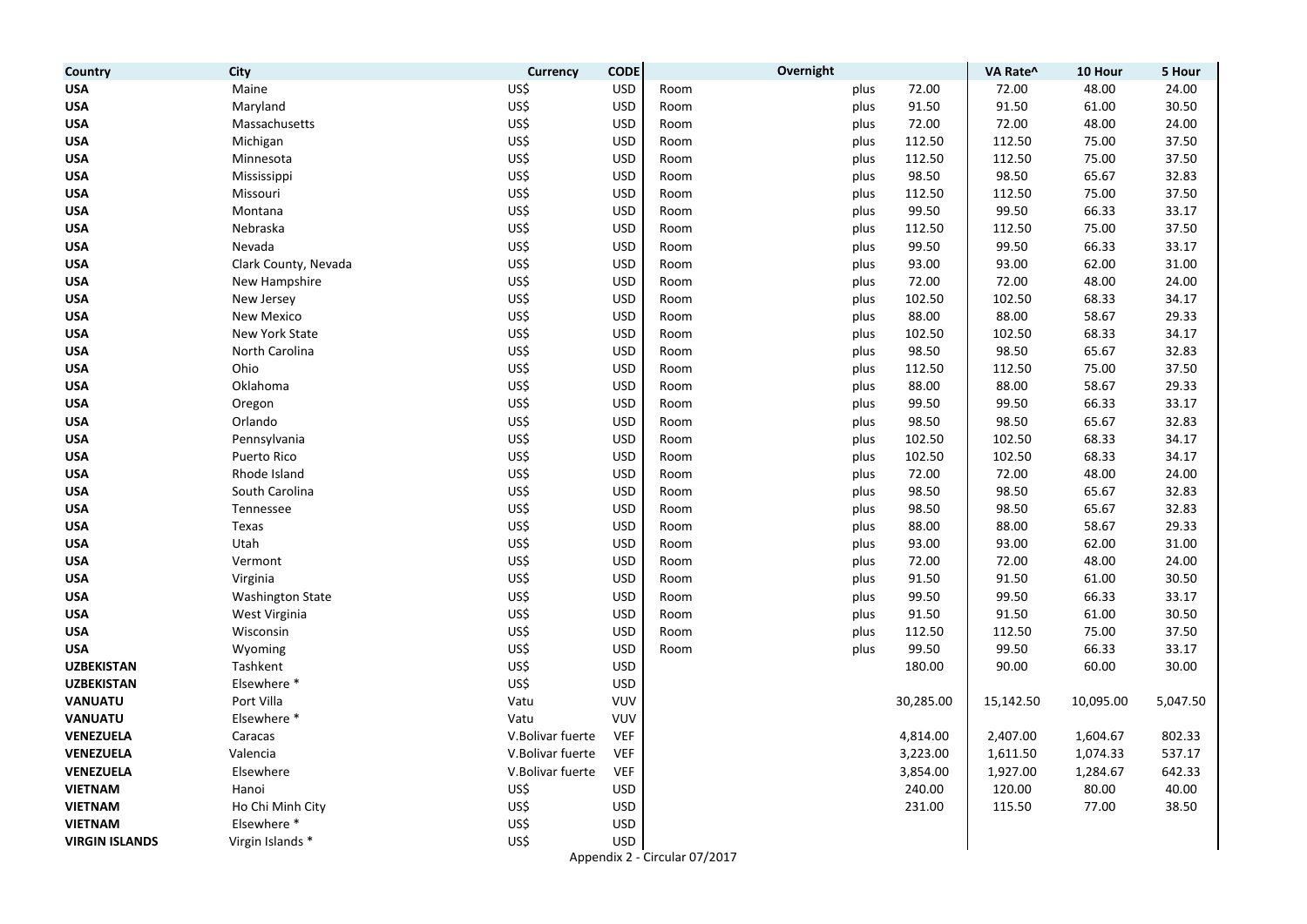| Country               | City                    | Currency         | <b>CODE</b> | Overnight |      |           | VA Rate^  | 10 Hour   | 5 Hour   |
|-----------------------|-------------------------|------------------|-------------|-----------|------|-----------|-----------|-----------|----------|
| <b>USA</b>            | Maine                   | US\$             | <b>USD</b>  | Room      | plus | 72.00     | 72.00     | 48.00     | 24.00    |
| <b>USA</b>            | Maryland                | US\$             | <b>USD</b>  | Room      | plus | 91.50     | 91.50     | 61.00     | 30.50    |
| <b>USA</b>            | Massachusetts           | US\$             | <b>USD</b>  | Room      | plus | 72.00     | 72.00     | 48.00     | 24.00    |
| <b>USA</b>            | Michigan                | US\$             | <b>USD</b>  | Room      | plus | 112.50    | 112.50    | 75.00     | 37.50    |
| <b>USA</b>            | Minnesota               | US\$             | <b>USD</b>  | Room      | plus | 112.50    | 112.50    | 75.00     | 37.50    |
| <b>USA</b>            | Mississippi             | US\$             | <b>USD</b>  | Room      | plus | 98.50     | 98.50     | 65.67     | 32.83    |
| <b>USA</b>            | Missouri                | US\$             | <b>USD</b>  | Room      | plus | 112.50    | 112.50    | 75.00     | 37.50    |
| <b>USA</b>            | Montana                 | US\$             | <b>USD</b>  | Room      | plus | 99.50     | 99.50     | 66.33     | 33.17    |
| <b>USA</b>            | Nebraska                | US\$             | <b>USD</b>  | Room      | plus | 112.50    | 112.50    | 75.00     | 37.50    |
| <b>USA</b>            | Nevada                  | US\$             | <b>USD</b>  | Room      | plus | 99.50     | 99.50     | 66.33     | 33.17    |
| <b>USA</b>            | Clark County, Nevada    | US\$             | <b>USD</b>  | Room      | plus | 93.00     | 93.00     | 62.00     | 31.00    |
| <b>USA</b>            | New Hampshire           | US\$             | <b>USD</b>  | Room      | plus | 72.00     | 72.00     | 48.00     | 24.00    |
| <b>USA</b>            | New Jersey              | US\$             | <b>USD</b>  | Room      | plus | 102.50    | 102.50    | 68.33     | 34.17    |
| <b>USA</b>            | <b>New Mexico</b>       | US\$             | <b>USD</b>  | Room      | plus | 88.00     | 88.00     | 58.67     | 29.33    |
| <b>USA</b>            | New York State          | US\$             | <b>USD</b>  | Room      | plus | 102.50    | 102.50    | 68.33     | 34.17    |
| <b>USA</b>            | North Carolina          | US\$             | <b>USD</b>  | Room      | plus | 98.50     | 98.50     | 65.67     | 32.83    |
| <b>USA</b>            | Ohio                    | US\$             | <b>USD</b>  | Room      | plus | 112.50    | 112.50    | 75.00     | 37.50    |
| <b>USA</b>            | Oklahoma                | US\$             | <b>USD</b>  | Room      | plus | 88.00     | 88.00     | 58.67     | 29.33    |
| <b>USA</b>            | Oregon                  | US\$             | <b>USD</b>  | Room      | plus | 99.50     | 99.50     | 66.33     | 33.17    |
| <b>USA</b>            | Orlando                 | US\$             | <b>USD</b>  | Room      | plus | 98.50     | 98.50     | 65.67     | 32.83    |
| <b>USA</b>            | Pennsylvania            | US\$             | <b>USD</b>  | Room      | plus | 102.50    | 102.50    | 68.33     | 34.17    |
| <b>USA</b>            | Puerto Rico             | US\$             | <b>USD</b>  | Room      | plus | 102.50    | 102.50    | 68.33     | 34.17    |
| <b>USA</b>            | Rhode Island            | US\$             | <b>USD</b>  | Room      | plus | 72.00     | 72.00     | 48.00     | 24.00    |
| <b>USA</b>            | South Carolina          | US\$             | <b>USD</b>  | Room      | plus | 98.50     | 98.50     | 65.67     | 32.83    |
| <b>USA</b>            | Tennessee               | US\$             | <b>USD</b>  | Room      | plus | 98.50     | 98.50     | 65.67     | 32.83    |
| <b>USA</b>            | Texas                   | US\$             | <b>USD</b>  | Room      | plus | 88.00     | 88.00     | 58.67     | 29.33    |
| <b>USA</b>            | Utah                    | US\$             | <b>USD</b>  | Room      | plus | 93.00     | 93.00     | 62.00     | 31.00    |
| <b>USA</b>            | Vermont                 | US\$             | <b>USD</b>  | Room      | plus | 72.00     | 72.00     | 48.00     | 24.00    |
| <b>USA</b>            | Virginia                | US\$             | <b>USD</b>  | Room      | plus | 91.50     | 91.50     | 61.00     | 30.50    |
| <b>USA</b>            | <b>Washington State</b> | US\$             | <b>USD</b>  | Room      | plus | 99.50     | 99.50     | 66.33     | 33.17    |
| <b>USA</b>            | West Virginia           | US\$             | <b>USD</b>  | Room      | plus | 91.50     | 91.50     | 61.00     | 30.50    |
| <b>USA</b>            | Wisconsin               | US\$             | <b>USD</b>  | Room      | plus | 112.50    | 112.50    | 75.00     | 37.50    |
| <b>USA</b>            | Wyoming                 | US\$             | <b>USD</b>  | Room      | plus | 99.50     | 99.50     | 66.33     | 33.17    |
| <b>UZBEKISTAN</b>     | Tashkent                | US\$             | <b>USD</b>  |           |      | 180.00    | 90.00     | 60.00     | 30.00    |
| <b>UZBEKISTAN</b>     | Elsewhere *             | US\$             | <b>USD</b>  |           |      |           |           |           |          |
| <b>VANUATU</b>        | Port Villa              | Vatu             | VUV         |           |      | 30,285.00 | 15,142.50 | 10,095.00 | 5,047.50 |
| <b>VANUATU</b>        | Elsewhere *             | Vatu             | <b>VUV</b>  |           |      |           |           |           |          |
| <b>VENEZUELA</b>      | Caracas                 | V.Bolivar fuerte | <b>VEF</b>  |           |      | 4,814.00  | 2,407.00  | 1,604.67  | 802.33   |
| VENEZUELA             | Valencia                | V.Bolivar fuerte | <b>VEF</b>  |           |      | 3,223.00  | 1,611.50  | 1,074.33  | 537.17   |
| <b>VENEZUELA</b>      | Elsewhere               | V.Bolivar fuerte | <b>VEF</b>  |           |      | 3,854.00  | 1,927.00  | 1,284.67  | 642.33   |
| <b>VIETNAM</b>        | Hanoi                   | US\$             | <b>USD</b>  |           |      | 240.00    | 120.00    | 80.00     | 40.00    |
| <b>VIETNAM</b>        | Ho Chi Minh City        | US\$             | <b>USD</b>  |           |      | 231.00    | 115.50    | 77.00     | 38.50    |
| <b>VIETNAM</b>        | Elsewhere *             | US\$             | <b>USD</b>  |           |      |           |           |           |          |
| <b>VIRGIN ISLANDS</b> | Virgin Islands *        | US\$             | <b>USD</b>  |           |      |           |           |           |          |

Appendix 2 - Circular 07/2017